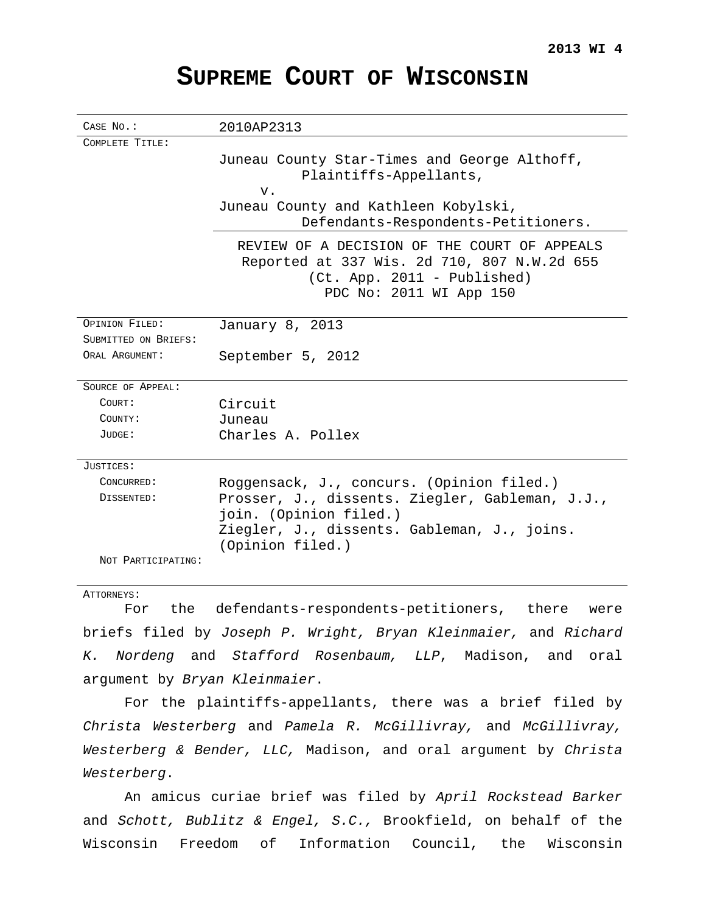# **SUPREME COURT OF WISCONSIN**

| CASE NO.:            | 2010AP2313                                                                                                                                              |
|----------------------|---------------------------------------------------------------------------------------------------------------------------------------------------------|
| COMPLETE TITLE:      |                                                                                                                                                         |
|                      | Juneau County Star-Times and George Althoff,                                                                                                            |
|                      | Plaintiffs-Appellants,                                                                                                                                  |
|                      | v.                                                                                                                                                      |
|                      | Juneau County and Kathleen Kobylski,                                                                                                                    |
|                      | Defendants-Respondents-Petitioners.                                                                                                                     |
|                      | REVIEW OF A DECISION OF THE COURT OF APPEALS<br>Reported at 337 Wis. 2d 710, 807 N.W.2d 655<br>$(Ct. App. 2011 - Published)$<br>PDC No: 2011 WI App 150 |
| OPINION FILED:       | January 8, 2013                                                                                                                                         |
| SUBMITTED ON BRIEFS: |                                                                                                                                                         |
| ORAL ARGUMENT:       | September 5, 2012                                                                                                                                       |
| SOURCE OF APPEAL:    |                                                                                                                                                         |
| COURT:               | Circuit                                                                                                                                                 |
| COUNTY:              | Juneau                                                                                                                                                  |
| JUDGE:               | Charles A. Pollex                                                                                                                                       |
| JUSTICES:            |                                                                                                                                                         |
| CONCURRED:           | Roggensack, J., concurs. (Opinion filed.)                                                                                                               |
| DISSENTED:           | Prosser, J., dissents. Ziegler, Gableman, J.J.,<br>join. (Opinion filed.)<br>Ziegler, J., dissents. Gableman, J., joins.<br>(Opinion filed.)            |
| NOT PARTICIPATING:   |                                                                                                                                                         |

#### ATTORNEYS:

For the defendants-respondents-petitioners, there were briefs filed by Joseph P. Wright, Bryan Kleinmaier, and Richard K. Nordeng and Stafford Rosenbaum, LLP, Madison, and oral argument by Bryan Kleinmaier.

For the plaintiffs-appellants, there was a brief filed by Christa Westerberg and Pamela R. McGillivray, and McGillivray, Westerberg & Bender, LLC, Madison, and oral argument by Christa Westerberg.

An amicus curiae brief was filed by April Rockstead Barker and Schott, Bublitz & Engel, S.C., Brookfield, on behalf of the Wisconsin Freedom of Information Council, the Wisconsin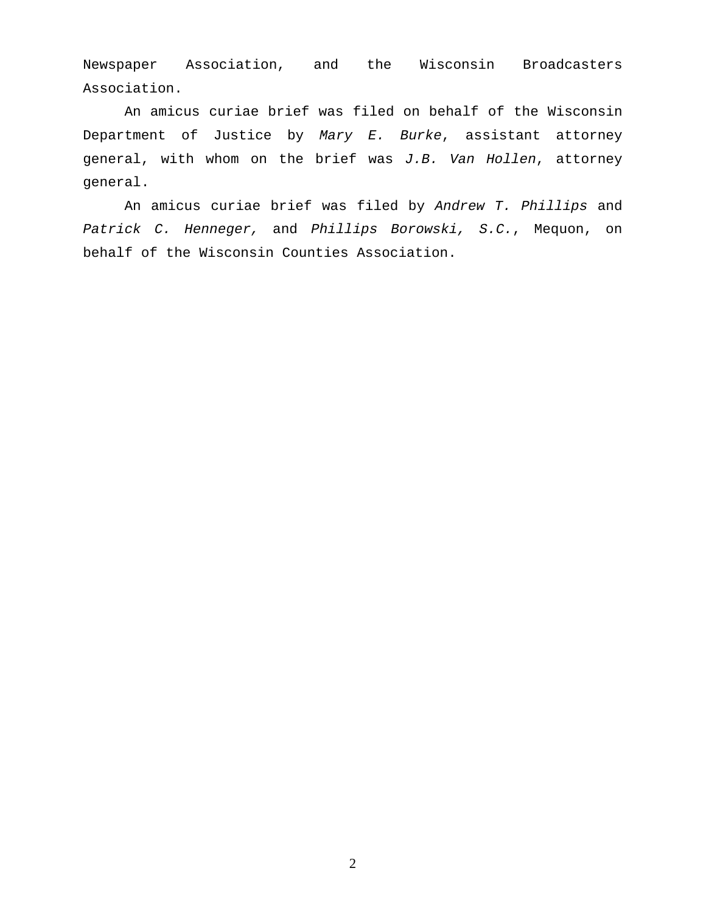Newspaper Association, and the Wisconsin Broadcasters Association.

An amicus curiae brief was filed on behalf of the Wisconsin Department of Justice by Mary  $E$ . Burke, assistant attorney general, with whom on the brief was J.B. Van Hollen, attorney general.

An amicus curiae brief was filed by Andrew T. Phillips and Patrick C. Henneger, and Phillips Borowski, S.C., Mequon, on behalf of the Wisconsin Counties Association.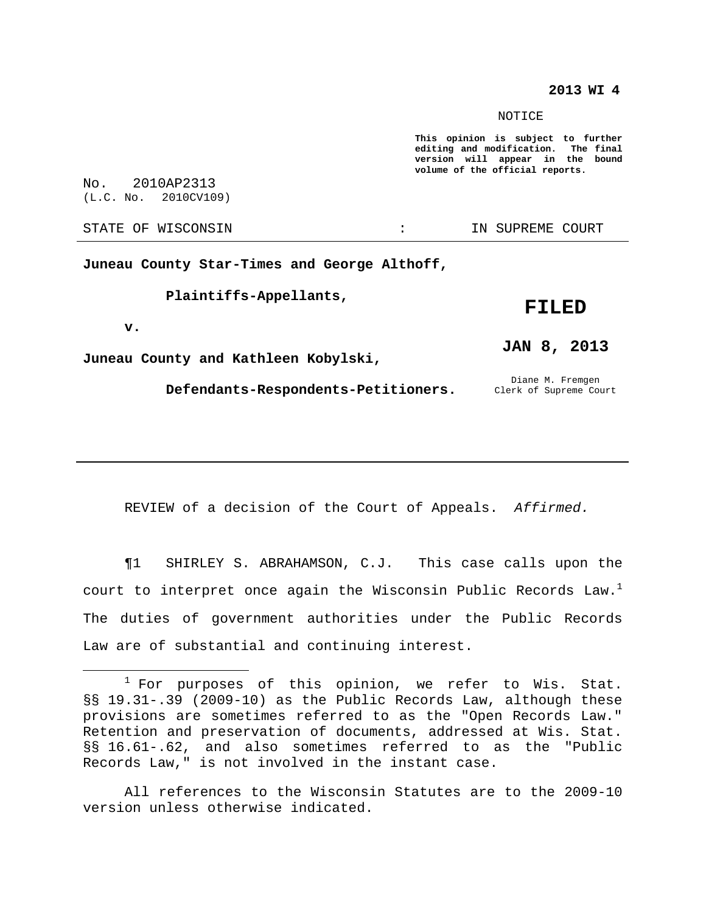## **2013 WI 4**

NOTICE

**This opinion is subject to further editing and modification. The final version will appear in the bound volume of the official reports.**

No. 2010AP2313 (L.C. No. 2010CV109)

STATE OF WISCONSIN THE RESERVE STATE OF WISCONSIN STATE OF THE SUPREME COURT

**v.**

**Juneau County Star-Times and George Althoff,**

**Plaintiffs-Appellants,**

## **FILED**

**JAN 8, 2013**

**Juneau County and Kathleen Kobylski,**

Defendants-Respondents-Petitioners. Clerk of Supreme Court

Diane M. Fremgen

REVIEW of a decision of the Court of Appeals. Affirmed.

¶1 SHIRLEY S. ABRAHAMSON, C.J. This case calls upon the court to interpret once again the Wisconsin Public Records Law. $^{\rm l}$ The duties of government authorities under the Public Records Law are of substantial and continuing interest.

All references to the Wisconsin Statutes are to the 2009-10 version unless otherwise indicated.

 $1$  For purposes of this opinion, we refer to Wis. Stat. §§ 19.31-.39 (2009-10) as the Public Records Law, although these provisions are sometimes referred to as the "Open Records Law." Retention and preservation of documents, addressed at Wis. Stat. §§ 16.61-.62, and also sometimes referred to as the "Public Records Law," is not involved in the instant case.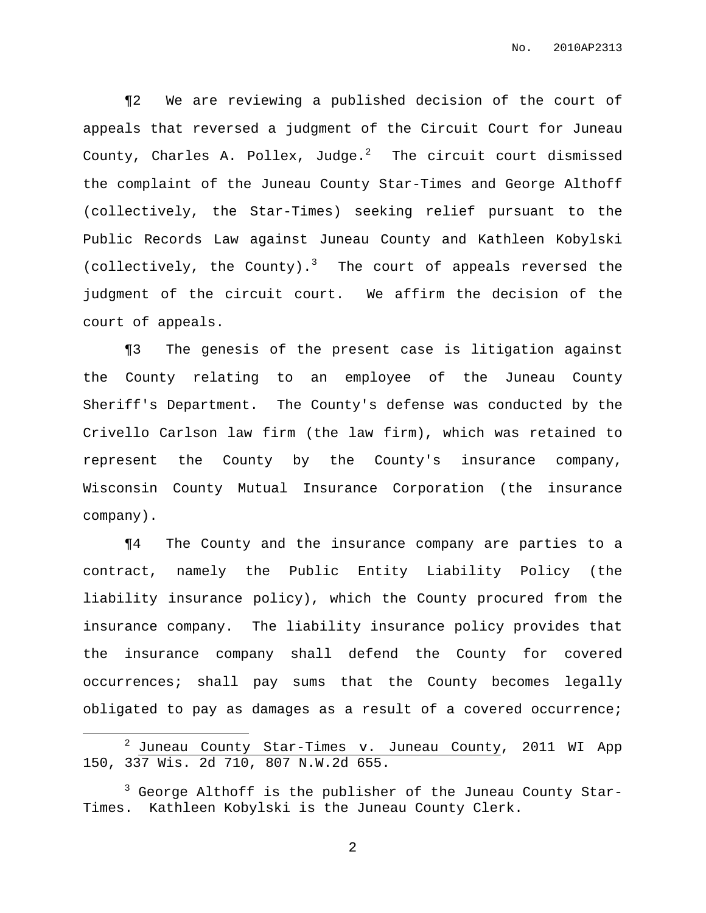¶2 We are reviewing a published decision of the court of appeals that reversed a judgment of the Circuit Court for Juneau County, Charles A. Pollex, Judge. $^2$  The circuit court dismissed the complaint of the Juneau County Star-Times and George Althoff (collectively, the Star-Times) seeking relief pursuant to the Public Records Law against Juneau County and Kathleen Kobylski (collectively, the County). <sup>3</sup> The court of appeals reversed the judgment of the circuit court. We affirm the decision of the court of appeals.

¶3 The genesis of the present case is litigation against the County relating to an employee of the Juneau County Sheriff's Department. The County's defense was conducted by the Crivello Carlson law firm (the law firm), which was retained to represent the County by the County's insurance company, Wisconsin County Mutual Insurance Corporation (the insurance company).

¶4 The County and the insurance company are parties to a contract, namely the Public Entity Liability Policy (the liability insurance policy), which the County procured from the insurance company. The liability insurance policy provides that the insurance company shall defend the County for covered occurrences; shall pay sums that the County becomes legally obligated to pay as damages as a result of a covered occurrence;

 $2$  Juneau County Star-Times v. Juneau County, 2011 WI App 150, 337 Wis. 2d 710, 807 N.W.2d 655.

 $3$  George Althoff is the publisher of the Juneau County Star-Times. Kathleen Kobylski is the Juneau County Clerk.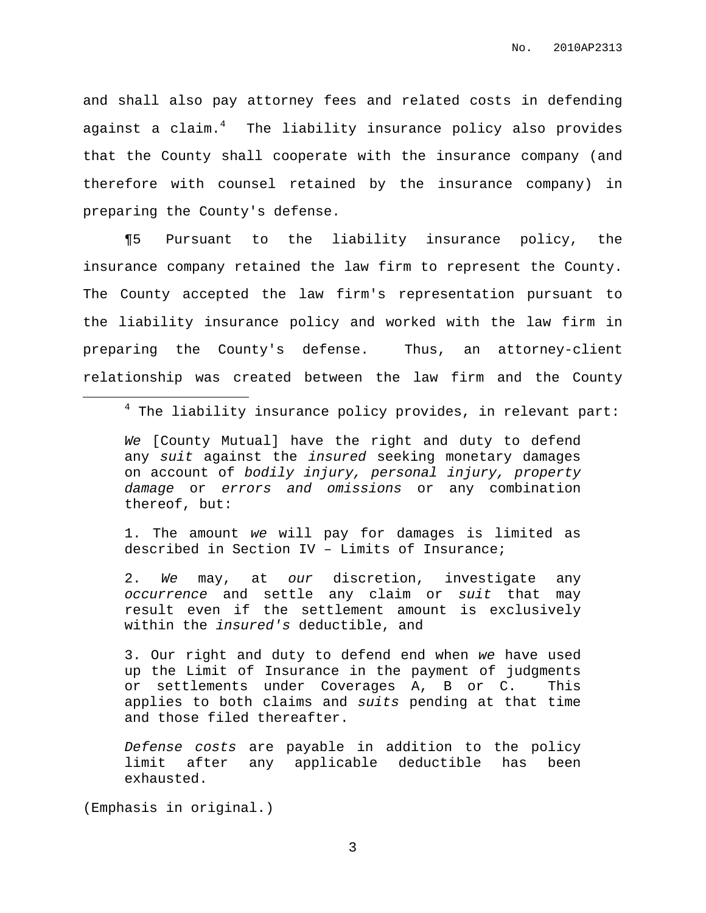and shall also pay attorney fees and related costs in defending against a claim. $^4\,$  The liability insurance policy also provides that the County shall cooperate with the insurance company (and therefore with counsel retained by the insurance company) in preparing the County's defense.

¶5 Pursuant to the liability insurance policy, the insurance company retained the law firm to represent the County. The County accepted the law firm's representation pursuant to the liability insurance policy and worked with the law firm in preparing the County's defense. Thus, an attorney-client relationship was created between the law firm and the County

 $4$  The liability insurance policy provides, in relevant part:

We [County Mutual] have the right and duty to defend any suit against the *insured* seeking monetary damages on account of bodily injury, personal injury, property damage or errors and omissions or any combination thereof, but:

1. The amount we will pay for damages is limited as described in Section IV – Limits of Insurance;

2. We may, at our discretion, investigate any occurrence and settle any claim or suit that may result even if the settlement amount is exclusively within the insured's deductible, and

3. Our right and duty to defend end when we have used up the Limit of Insurance in the payment of judgments or settlements under Coverages A, B or C. This applies to both claims and suits pending at that time and those filed thereafter.

Defense costs are payable in addition to the policy limit after any applicable deductible has been exhausted.

(Emphasis in original.)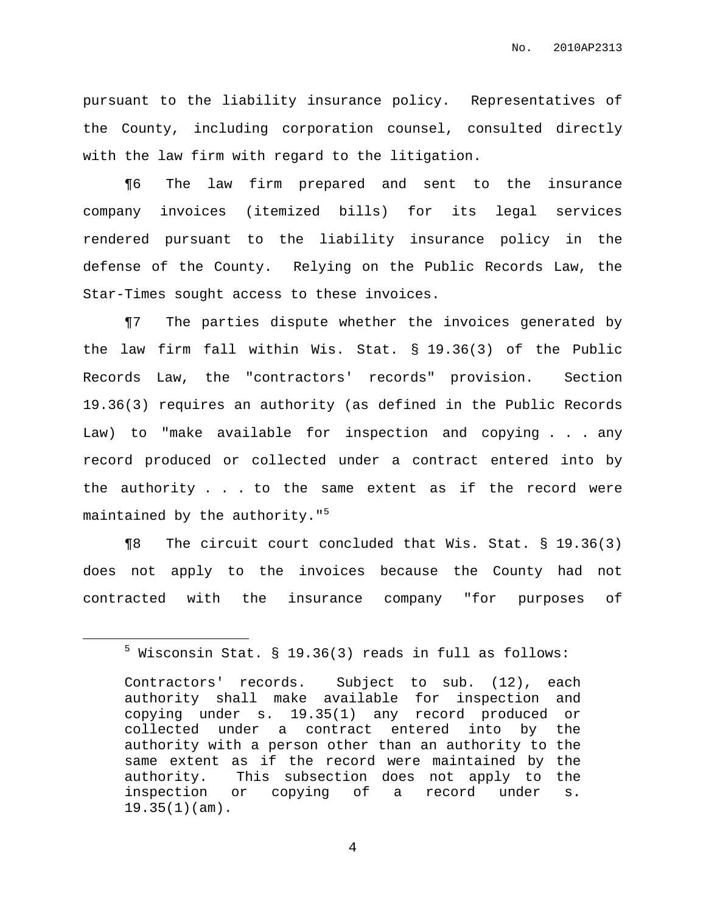pursuant to the liability insurance policy. Representatives of the County, including corporation counsel, consulted directly with the law firm with regard to the litigation.

¶6 The law firm prepared and sent to the insurance company invoices (itemized bills) for its legal services rendered pursuant to the liability insurance policy in the defense of the County. Relying on the Public Records Law, the Star-Times sought access to these invoices.

¶7 The parties dispute whether the invoices generated by the law firm fall within Wis. Stat. § 19.36(3) of the Public Records Law, the "contractors' records" provision. Section 19.36(3) requires an authority (as defined in the Public Records Law) to "make available for inspection and copying . . . any record produced or collected under a contract entered into by the authority . . . to the same extent as if the record were maintained by the authority." 5

¶8 The circuit court concluded that Wis. Stat. § 19.36(3) does not apply to the invoices because the County had not contracted with the insurance company "for purposes of

 $5$  Wisconsin Stat. § 19.36(3) reads in full as follows:

Contractors' records. Subject to sub. (12), each authority shall make available for inspection and copying under s. 19.35(1) any record produced or collected under a contract entered into by the authority with a person other than an authority to the same extent as if the record were maintained by the authority. This subsection does not apply to the inspection or copying of a record under s. 19.35(1)(am).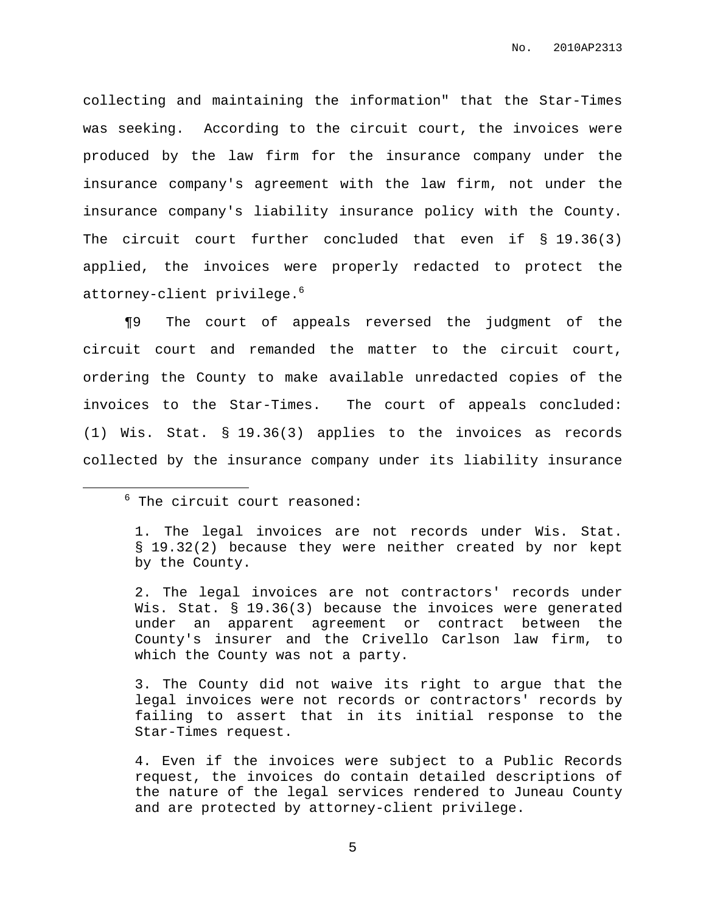collecting and maintaining the information" that the Star-Times was seeking. According to the circuit court, the invoices were produced by the law firm for the insurance company under the insurance company's agreement with the law firm, not under the insurance company's liability insurance policy with the County. The circuit court further concluded that even if § 19.36(3) applied, the invoices were properly redacted to protect the attorney-client privilege. 6

¶9 The court of appeals reversed the judgment of the circuit court and remanded the matter to the circuit court, ordering the County to make available unredacted copies of the invoices to the Star-Times. The court of appeals concluded: (1) Wis. Stat. § 19.36(3) applies to the invoices as records collected by the insurance company under its liability insurance

2. The legal invoices are not contractors' records under Wis. Stat. § 19.36(3) because the invoices were generated under an apparent agreement or contract between the County's insurer and the Crivello Carlson law firm, to which the County was not a party.

3. The County did not waive its right to argue that the legal invoices were not records or contractors' records by failing to assert that in its initial response to the Star-Times request.

4. Even if the invoices were subject to a Public Records request, the invoices do contain detailed descriptions of the nature of the legal services rendered to Juneau County and are protected by attorney-client privilege.

 $6$  The circuit court reasoned:

<sup>1.</sup> The legal invoices are not records under Wis. Stat. § 19.32(2) because they were neither created by nor kept by the County.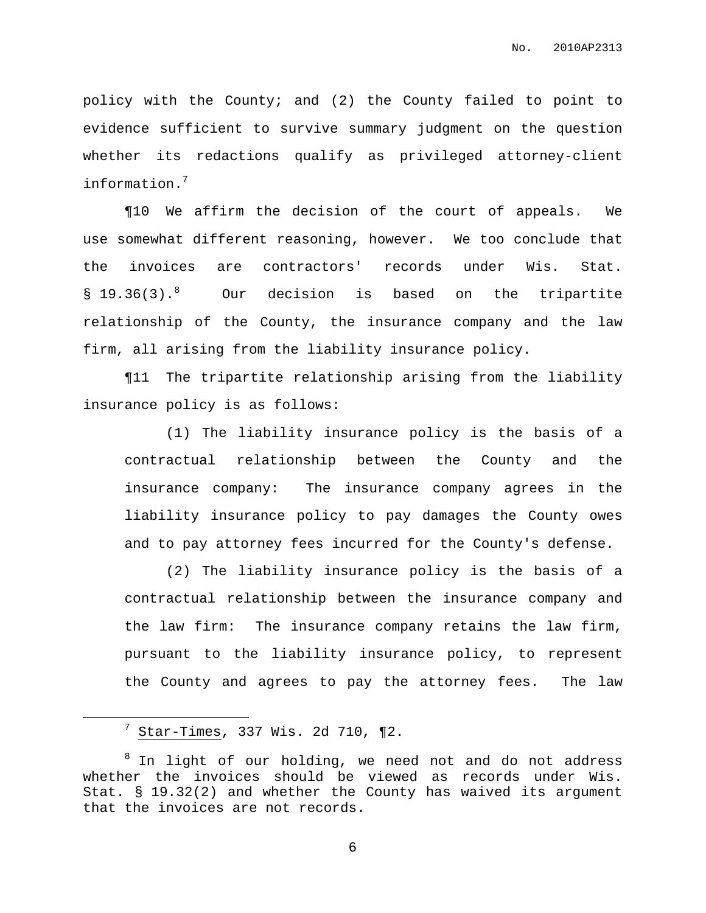policy with the County; and (2) the County failed to point to evidence sufficient to survive summary judgment on the question whether its redactions qualify as privileged attorney-client information. 7

¶10 We affirm the decision of the court of appeals. We use somewhat different reasoning, however. We too conclude that the invoices are contractors' records under Wis. Stat. § 19.36(3).<sup>8</sup> Our decision is based on the tripartite relationship of the County, the insurance company and the law firm, all arising from the liability insurance policy.

¶11 The tripartite relationship arising from the liability insurance policy is as follows:

(1) The liability insurance policy is the basis of a contractual relationship between the County and the insurance company: The insurance company agrees in the liability insurance policy to pay damages the County owes and to pay attorney fees incurred for the County's defense.

(2) The liability insurance policy is the basis of a contractual relationship between the insurance company and the law firm: The insurance company retains the law firm, pursuant to the liability insurance policy, to represent the County and agrees to pay the attorney fees. The law

<sup>7</sup> Star-Times, 337 Wis. 2d 710, ¶2.

 $8$  In light of our holding, we need not and do not address whether the invoices should be viewed as records under Wis. Stat. § 19.32(2) and whether the County has waived its argument that the invoices are not records.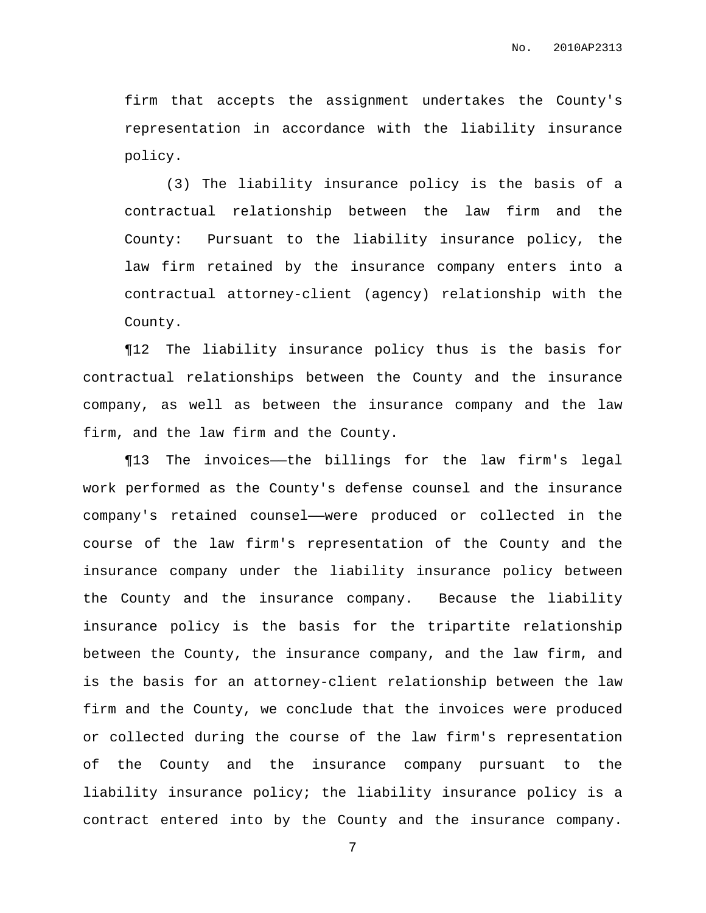firm that accepts the assignment undertakes the County's representation in accordance with the liability insurance policy.

(3) The liability insurance policy is the basis of a contractual relationship between the law firm and the County: Pursuant to the liability insurance policy, the law firm retained by the insurance company enters into a contractual attorney-client (agency) relationship with the County.

¶12 The liability insurance policy thus is the basis for contractual relationships between the County and the insurance company, as well as between the insurance company and the law firm, and the law firm and the County.

¶13 The invoices——the billings for the law firm's legal work performed as the County's defense counsel and the insurance company's retained counsel——were produced or collected in the course of the law firm's representation of the County and the insurance company under the liability insurance policy between the County and the insurance company. Because the liability insurance policy is the basis for the tripartite relationship between the County, the insurance company, and the law firm, and is the basis for an attorney-client relationship between the law firm and the County, we conclude that the invoices were produced or collected during the course of the law firm's representation of the County and the insurance company pursuant to the liability insurance policy; the liability insurance policy is a contract entered into by the County and the insurance company.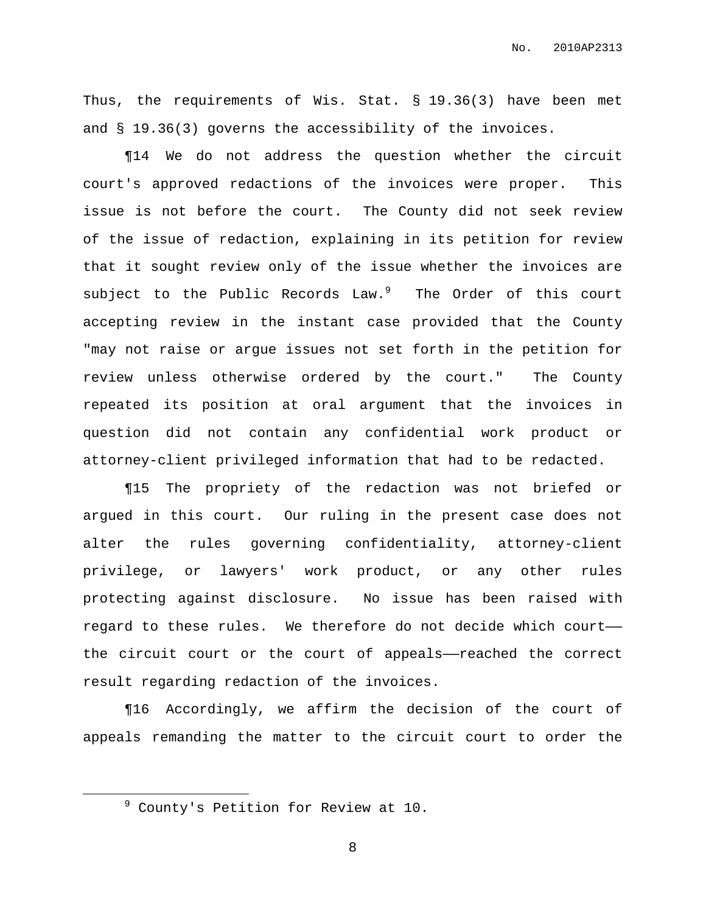Thus, the requirements of Wis. Stat. § 19.36(3) have been met and § 19.36(3) governs the accessibility of the invoices.

¶14 We do not address the question whether the circuit court's approved redactions of the invoices were proper. This issue is not before the court. The County did not seek review of the issue of redaction, explaining in its petition for review that it sought review only of the issue whether the invoices are subject to the Public Records Law.<sup>9</sup> The Order of this court accepting review in the instant case provided that the County "may not raise or argue issues not set forth in the petition for review unless otherwise ordered by the court." The County repeated its position at oral argument that the invoices in question did not contain any confidential work product or attorney-client privileged information that had to be redacted.

¶15 The propriety of the redaction was not briefed or argued in this court. Our ruling in the present case does not alter the rules governing confidentiality, attorney-client privilege, or lawyers' work product, or any other rules protecting against disclosure. No issue has been raised with regard to these rules. We therefore do not decide which court— the circuit court or the court of appeals——reached the correct result regarding redaction of the invoices.

¶16 Accordingly, we affirm the decision of the court of appeals remanding the matter to the circuit court to order the

<sup>9</sup> County's Petition for Review at 10.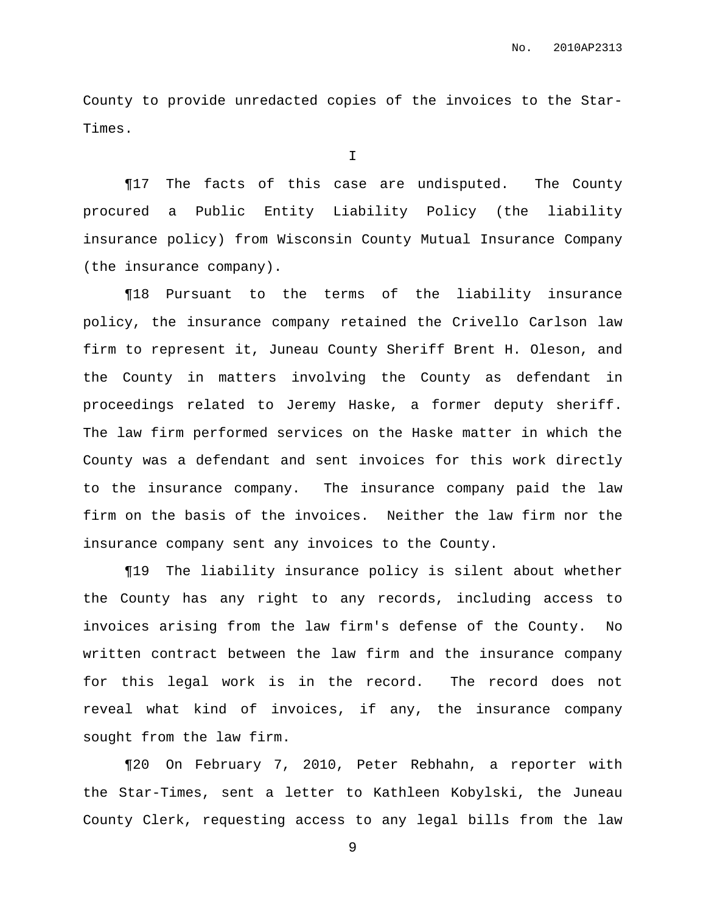County to provide unredacted copies of the invoices to the Star-Times.

I

¶17 The facts of this case are undisputed. The County procured a Public Entity Liability Policy (the liability insurance policy) from Wisconsin County Mutual Insurance Company (the insurance company).

¶18 Pursuant to the terms of the liability insurance policy, the insurance company retained the Crivello Carlson law firm to represent it, Juneau County Sheriff Brent H. Oleson, and the County in matters involving the County as defendant in proceedings related to Jeremy Haske, a former deputy sheriff. The law firm performed services on the Haske matter in which the County was a defendant and sent invoices for this work directly to the insurance company. The insurance company paid the law firm on the basis of the invoices. Neither the law firm nor the insurance company sent any invoices to the County.

¶19 The liability insurance policy is silent about whether the County has any right to any records, including access to invoices arising from the law firm's defense of the County. No written contract between the law firm and the insurance company for this legal work is in the record. The record does not reveal what kind of invoices, if any, the insurance company sought from the law firm.

¶20 On February 7, 2010, Peter Rebhahn, a reporter with the Star-Times, sent a letter to Kathleen Kobylski, the Juneau County Clerk, requesting access to any legal bills from the law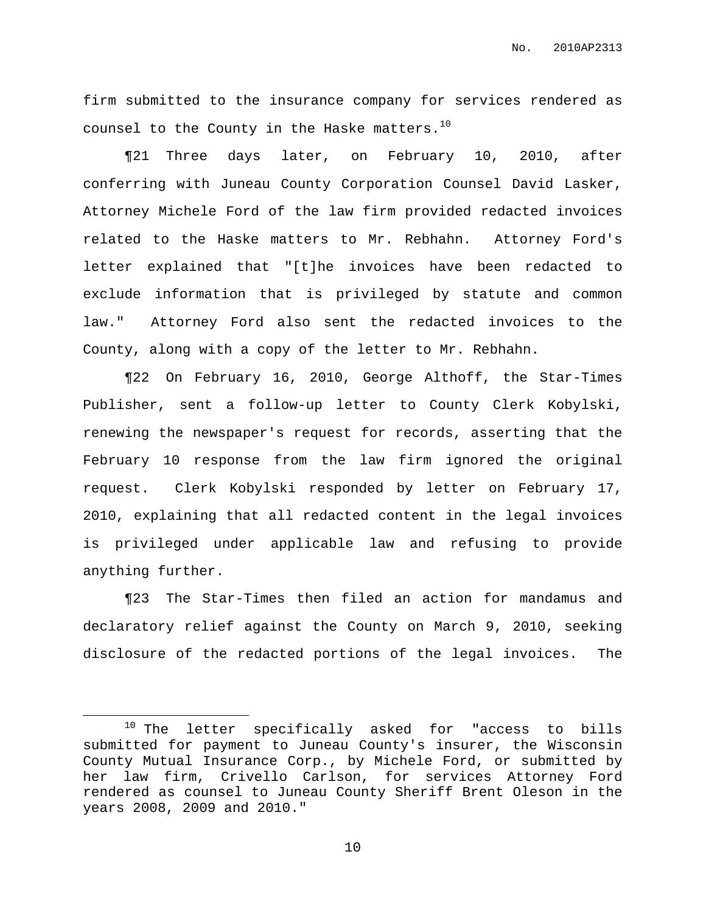firm submitted to the insurance company for services rendered as counsel to the County in the Haske matters. $^{10}$ 

¶21 Three days later, on February 10, 2010, after conferring with Juneau County Corporation Counsel David Lasker, Attorney Michele Ford of the law firm provided redacted invoices related to the Haske matters to Mr. Rebhahn. Attorney Ford's letter explained that "[t]he invoices have been redacted to exclude information that is privileged by statute and common law." Attorney Ford also sent the redacted invoices to the County, along with a copy of the letter to Mr. Rebhahn.

¶22 On February 16, 2010, George Althoff, the Star-Times Publisher, sent a follow-up letter to County Clerk Kobylski, renewing the newspaper's request for records, asserting that the February 10 response from the law firm ignored the original request. Clerk Kobylski responded by letter on February 17, 2010, explaining that all redacted content in the legal invoices is privileged under applicable law and refusing to provide anything further.

¶23 The Star-Times then filed an action for mandamus and declaratory relief against the County on March 9, 2010, seeking disclosure of the redacted portions of the legal invoices. The

<sup>&</sup>lt;sup>10</sup> The letter specifically asked for "access to bills submitted for payment to Juneau County's insurer, the Wisconsin County Mutual Insurance Corp., by Michele Ford, or submitted by her law firm, Crivello Carlson, for services Attorney Ford rendered as counsel to Juneau County Sheriff Brent Oleson in the years 2008, 2009 and 2010."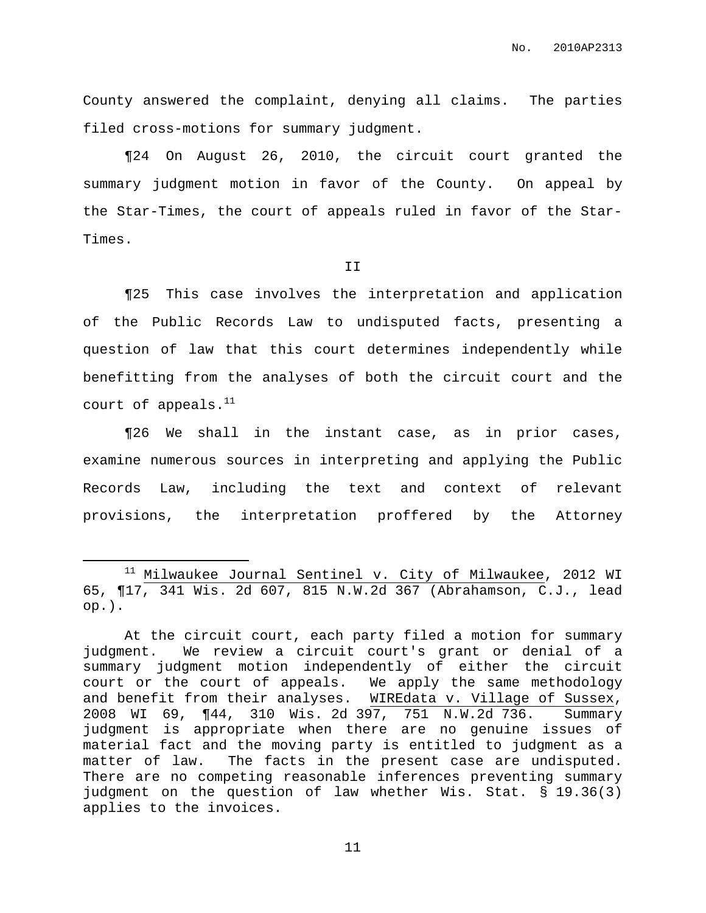No. 2010AP2313

County answered the complaint, denying all claims. The parties filed cross-motions for summary judgment.

¶24 On August 26, 2010, the circuit court granted the summary judgment motion in favor of the County. On appeal by the Star-Times, the court of appeals ruled in favor of the Star-Times.

II

¶25 This case involves the interpretation and application of the Public Records Law to undisputed facts, presenting a question of law that this court determines independently while benefitting from the analyses of both the circuit court and the court of appeals. $^{\rm 11}$ 

¶26 We shall in the instant case, as in prior cases, examine numerous sources in interpreting and applying the Public Records Law, including the text and context of relevant provisions, the interpretation proffered by the Attorney

<sup>&</sup>lt;sup>11</sup> Milwaukee Journal Sentinel v. City of Milwaukee, 2012 WI 65, ¶17, 341 Wis. 2d 607, 815 N.W.2d 367 (Abrahamson, C.J., lead op.).

At the circuit court, each party filed a motion for summary judgment. We review a circuit court's grant or denial of a summary judgment motion independently of either the circuit court or the court of appeals. We apply the same methodology and benefit from their analyses. WIREdata v. Village of Sussex, 2008 WI 69, ¶44, 310 Wis. 2d 397, 751 N.W.2d 736. Summary judgment is appropriate when there are no genuine issues of material fact and the moving party is entitled to judgment as a matter of law. The facts in the present case are undisputed. There are no competing reasonable inferences preventing summary judgment on the question of law whether Wis. Stat. § 19.36(3) applies to the invoices.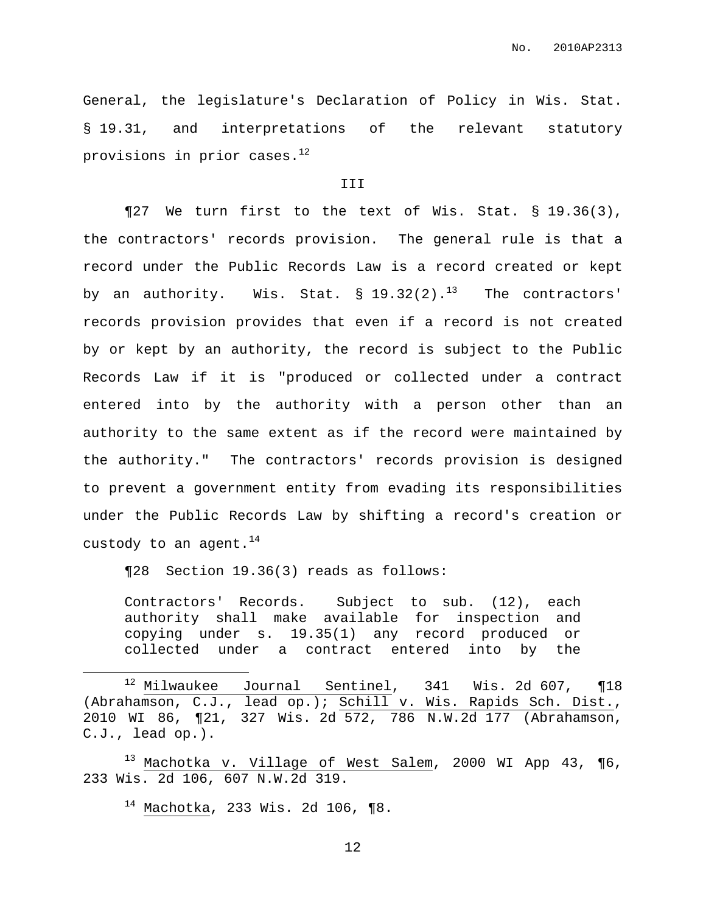General, the legislature's Declaration of Policy in Wis. Stat. § 19.31, and interpretations of the relevant statutory provisions in prior cases. $^{\rm 12}$ 

# III

¶27 We turn first to the text of Wis. Stat. § 19.36(3), the contractors' records provision. The general rule is that a record under the Public Records Law is a record created or kept by an authority. Wis. Stat.  $\S$  19.32(2). $^{13}$  The contractors' records provision provides that even if a record is not created by or kept by an authority, the record is subject to the Public Records Law if it is "produced or collected under a contract entered into by the authority with a person other than an authority to the same extent as if the record were maintained by the authority." The contractors' records provision is designed to prevent a government entity from evading its responsibilities under the Public Records Law by shifting a record's creation or custody to an agent. $^{14}$ 

¶28 Section 19.36(3) reads as follows:

Contractors' Records. Subject to sub. (12), each authority shall make available for inspection and copying under s. 19.35(1) any record produced or collected under a contract entered into by the

 $^{13}$  Machotka v. Village of West Salem, 2000 WI App 43, ¶6, 233 Wis. 2d 106, 607 N.W.2d 319.

 $14$  Machotka, 233 Wis. 2d 106, ¶8.

 $12$  Milwaukee Journal Sentinel, 341 Wis. 2d 607, ¶18 (Abrahamson, C.J., lead op.); Schill v. Wis. Rapids Sch. Dist., 2010 WI 86, ¶21, 327 Wis. 2d 572, 786 N.W.2d 177 (Abrahamson, C.J., lead op.).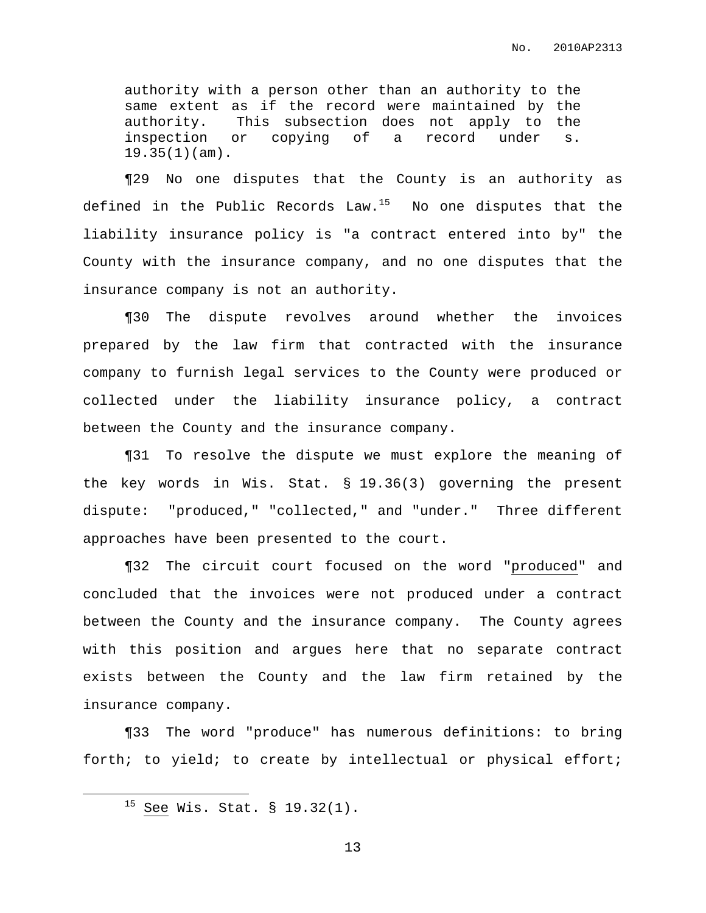authority with a person other than an authority to the same extent as if the record were maintained by the authority. This subsection does not apply to the inspection or copying of a record under s. 19.35(1)(am).

¶29 No one disputes that the County is an authority as defined in the Public Records Law. $^{15}$  Wo one disputes that the liability insurance policy is "a contract entered into by" the County with the insurance company, and no one disputes that the insurance company is not an authority.

¶30 The dispute revolves around whether the invoices prepared by the law firm that contracted with the insurance company to furnish legal services to the County were produced or collected under the liability insurance policy, a contract between the County and the insurance company.

¶31 To resolve the dispute we must explore the meaning of the key words in Wis. Stat. § 19.36(3) governing the present dispute: "produced," "collected," and "under." Three different approaches have been presented to the court.

¶32 The circuit court focused on the word "produced" and concluded that the invoices were not produced under a contract between the County and the insurance company. The County agrees with this position and argues here that no separate contract exists between the County and the law firm retained by the insurance company.

¶33 The word "produce" has numerous definitions: to bring forth; to yield; to create by intellectual or physical effort;

<sup>15</sup> See Wis. Stat. § 19.32(1).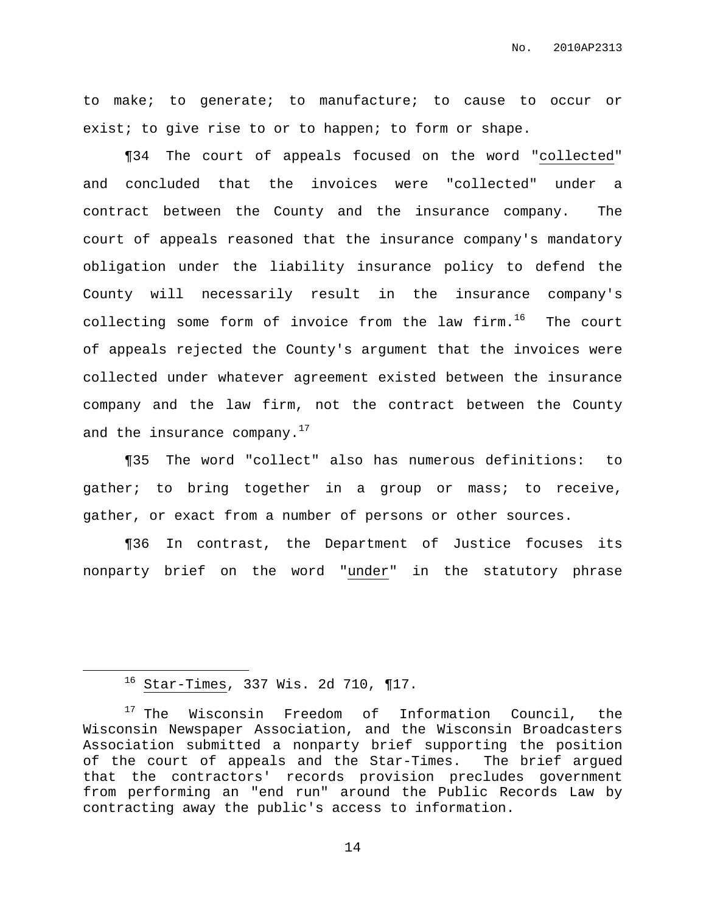to make; to generate; to manufacture; to cause to occur or exist; to give rise to or to happen; to form or shape.

¶34 The court of appeals focused on the word "collected" and concluded that the invoices were "collected" under a contract between the County and the insurance company. The court of appeals reasoned that the insurance company's mandatory obligation under the liability insurance policy to defend the County will necessarily result in the insurance company's collecting some form of invoice from the law firm.<sup>16</sup> The court of appeals rejected the County's argument that the invoices were collected under whatever agreement existed between the insurance company and the law firm, not the contract between the County and the insurance company. $^{17}$ 

¶35 The word "collect" also has numerous definitions: to gather; to bring together in a group or mass; to receive, gather, or exact from a number of persons or other sources.

¶36 In contrast, the Department of Justice focuses its nonparty brief on the word "under" in the statutory phrase

 $16$  Star-Times, 337 Wis. 2d 710, ¶17.

<sup>&</sup>lt;sup>17</sup> The Wisconsin Freedom of Information Council, the Wisconsin Newspaper Association, and the Wisconsin Broadcasters Association submitted a nonparty brief supporting the position of the court of appeals and the Star-Times. The brief argued that the contractors' records provision precludes government from performing an "end run" around the Public Records Law by contracting away the public's access to information.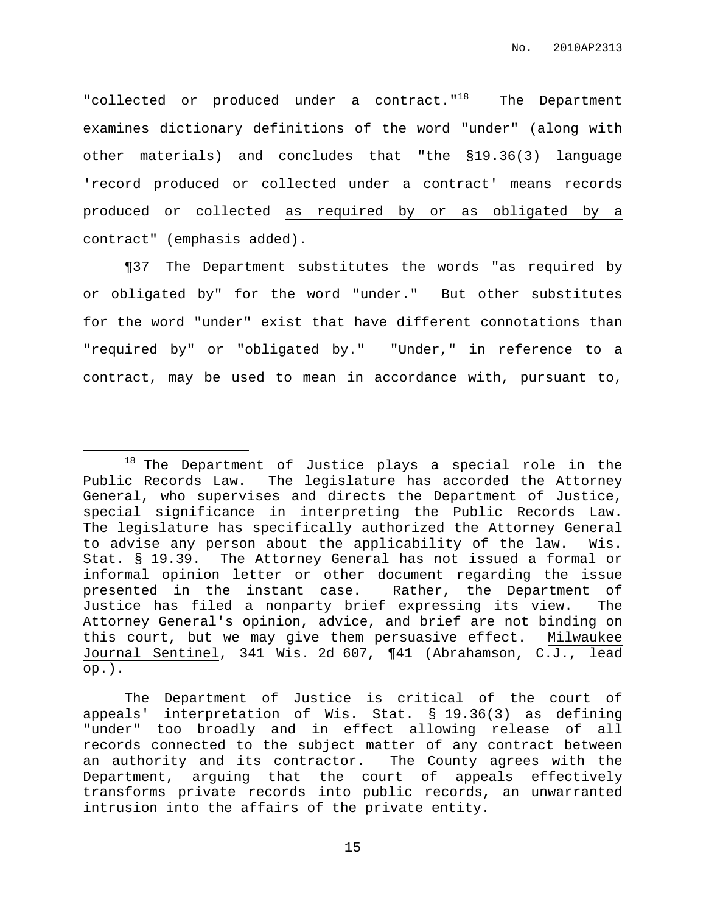"collected or produced under a contract."<sup>18</sup> The Department examines dictionary definitions of the word "under" (along with other materials) and concludes that "the §19.36(3) language 'record produced or collected under a contract' means records produced or collected as required by or as obligated by a contract" (emphasis added).

¶37 The Department substitutes the words "as required by or obligated by" for the word "under." But other substitutes for the word "under" exist that have different connotations than "required by" or "obligated by." "Under," in reference to a contract, may be used to mean in accordance with, pursuant to,

<sup>&</sup>lt;sup>18</sup> The Department of Justice plays a special role in the Public Records Law. The legislature has accorded the Attorney General, who supervises and directs the Department of Justice, special significance in interpreting the Public Records Law. The legislature has specifically authorized the Attorney General to advise any person about the applicability of the law. Wis. Stat. § 19.39. The Attorney General has not issued a formal or informal opinion letter or other document regarding the issue presented in the instant case. Rather, the Department of Justice has filed a nonparty brief expressing its view. The Attorney General's opinion, advice, and brief are not binding on this court, but we may give them persuasive effect. Milwaukee Journal Sentinel, 341 Wis. 2d 607, ¶41 (Abrahamson, C.J., lead op.).

The Department of Justice is critical of the court of appeals' interpretation of Wis. Stat. § 19.36(3) as defining "under" too broadly and in effect allowing release of all records connected to the subject matter of any contract between an authority and its contractor. The County agrees with the Department, arguing that the court of appeals effectively transforms private records into public records, an unwarranted intrusion into the affairs of the private entity.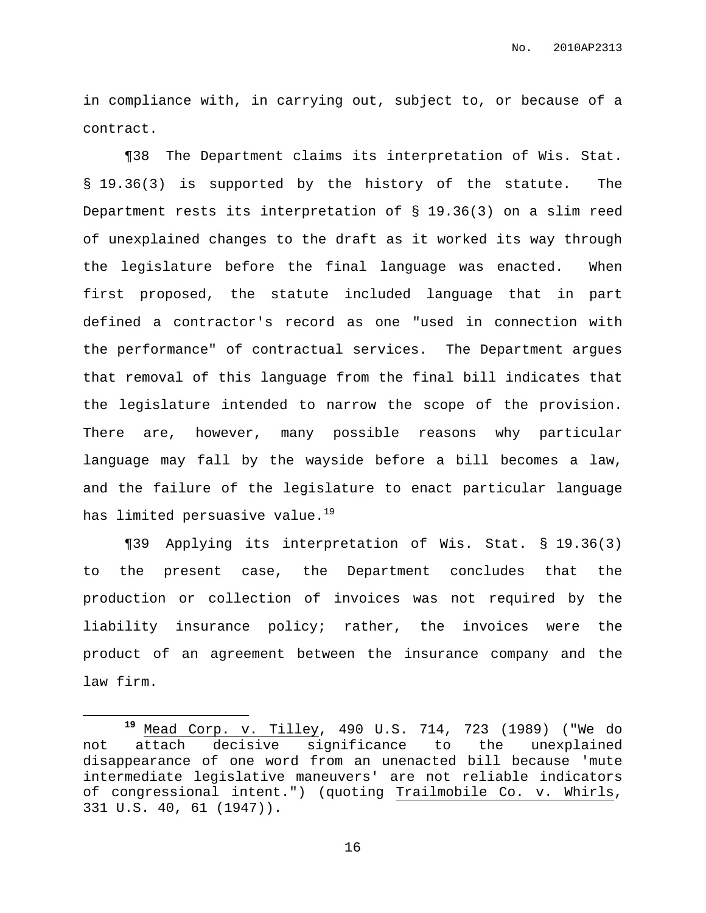in compliance with, in carrying out, subject to, or because of a contract.

¶38 The Department claims its interpretation of Wis. Stat. § 19.36(3) is supported by the history of the statute. The Department rests its interpretation of § 19.36(3) on a slim reed of unexplained changes to the draft as it worked its way through the legislature before the final language was enacted. When first proposed, the statute included language that in part defined a contractor's record as one "used in connection with the performance" of contractual services. The Department argues that removal of this language from the final bill indicates that the legislature intended to narrow the scope of the provision. There are, however, many possible reasons why particular language may fall by the wayside before a bill becomes a law, and the failure of the legislature to enact particular language has limited persuasive value. 19

¶39 Applying its interpretation of Wis. Stat. § 19.36(3) to the present case, the Department concludes that the production or collection of invoices was not required by the liability insurance policy; rather, the invoices were the product of an agreement between the insurance company and the law firm.

**<sup>19</sup>** Mead Corp. v. Tilley, 490 U.S. 714, 723 (1989) ("We do not attach decisive significance to the unexplained disappearance of one word from an unenacted bill because 'mute intermediate legislative maneuvers' are not reliable indicators of congressional intent.") (quoting [Trailmobile](http://web2.westlaw.com/find/default.wl?mt=Westlaw&db=708&tc=-1&rp=%2ffind%2fdefault.wl&findtype=Y&ordoc=1989082503&serialnum=1947117090&vr=2.0&fn=_top&sv=Split&tf=-1&referencepositiontype=S&pbc=64737863&referenceposition=992&rs=WLW12.07) Co. v. Whirls, 331 U.S. 40, 61 [\(1947\)\)](http://web2.westlaw.com/find/default.wl?mt=Westlaw&db=708&tc=-1&rp=%2ffind%2fdefault.wl&findtype=Y&ordoc=1989082503&serialnum=1947117090&vr=2.0&fn=_top&sv=Split&tf=-1&referencepositiontype=S&pbc=64737863&referenceposition=992&rs=WLW12.07).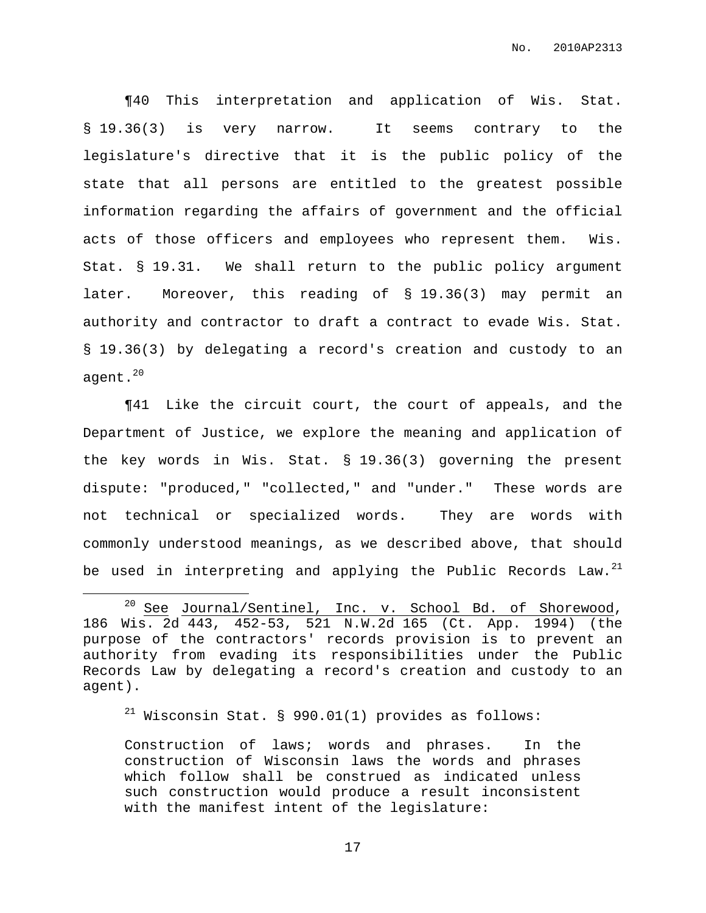¶40 This interpretation and application of Wis. Stat. § 19.36(3) is very narrow. It seems contrary to the legislature's directive that it is the public policy of the state that all persons are entitled to the greatest possible information regarding the affairs of government and the official acts of those officers and employees who represent them. Wis. Stat. § 19.31. We shall return to the public policy argument later. Moreover, this reading of § 19.36(3) may permit an authority and contractor to draft a contract to evade Wis. Stat. § 19.36(3) by delegating a record's creation and custody to an agent. 20

¶41 Like the circuit court, the court of appeals, and the Department of Justice, we explore the meaning and application of the key words in Wis. Stat. § 19.36(3) governing the present dispute: "produced," "collected," and "under." These words are not technical or specialized words. They are words with commonly understood meanings, as we described above, that should be used in interpreting and applying the Public Records Law. $^{21}$ 

 $21$  Wisconsin Stat. § 990.01(1) provides as follows:

Construction of laws; words and phrases. In the construction of Wisconsin laws the words and phrases which follow shall be construed as indicated unless such construction would produce a result inconsistent with the manifest intent of the legislature:

 $20$  See Journal/Sentinel, Inc. v. School Bd. of Shorewood, 186 Wis. 2d 443, 452-53, 521 N.W.2d 165 (Ct. App. 1994) (the purpose of the contractors' records provision is to prevent an authority from evading its responsibilities under the Public Records Law by delegating a record's creation and custody to an agent).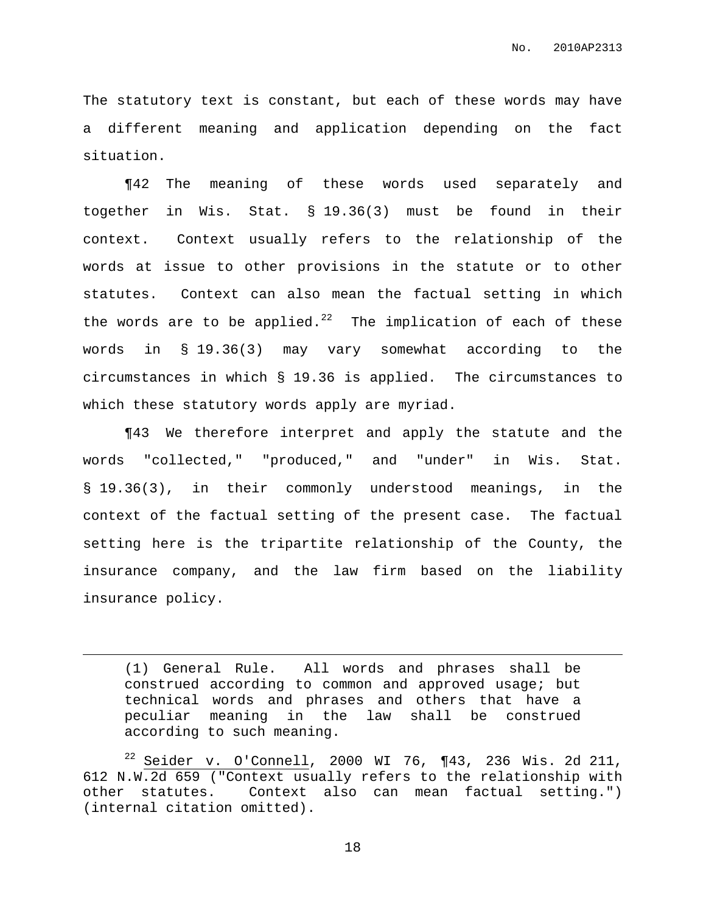The statutory text is constant, but each of these words may have a different meaning and application depending on the fact situation.

¶42 The meaning of these words used separately and together in Wis. Stat. § 19.36(3) must be found in their context. Context usually refers to the relationship of the words at issue to other provisions in the statute or to other statutes. Context can also mean the factual setting in which the words are to be applied.<sup>22</sup> The implication of each of these words in § 19.36(3) may vary somewhat according to the circumstances in which § 19.36 is applied. The circumstances to which these statutory words apply are myriad.

¶43 We therefore interpret and apply the statute and the words "collected," "produced," and "under" in Wis. Stat. § 19.36(3), in their commonly understood meanings, in the context of the factual setting of the present case. The factual setting here is the tripartite relationship of the County, the insurance company, and the law firm based on the liability insurance policy.

(1) General Rule. All words and phrases shall be construed according to common and approved usage; but technical words and phrases and others that have a peculiar meaning in the law shall be construed according to such meaning.

 $22$  Seider v. O'Connell, 2000 WI 76, ¶43, 236 Wis. 2d 211, 612 N.W.2d 659 ("Context usually refers to the relationship with other statutes. Context also can mean factual setting.") (internal citation omitted).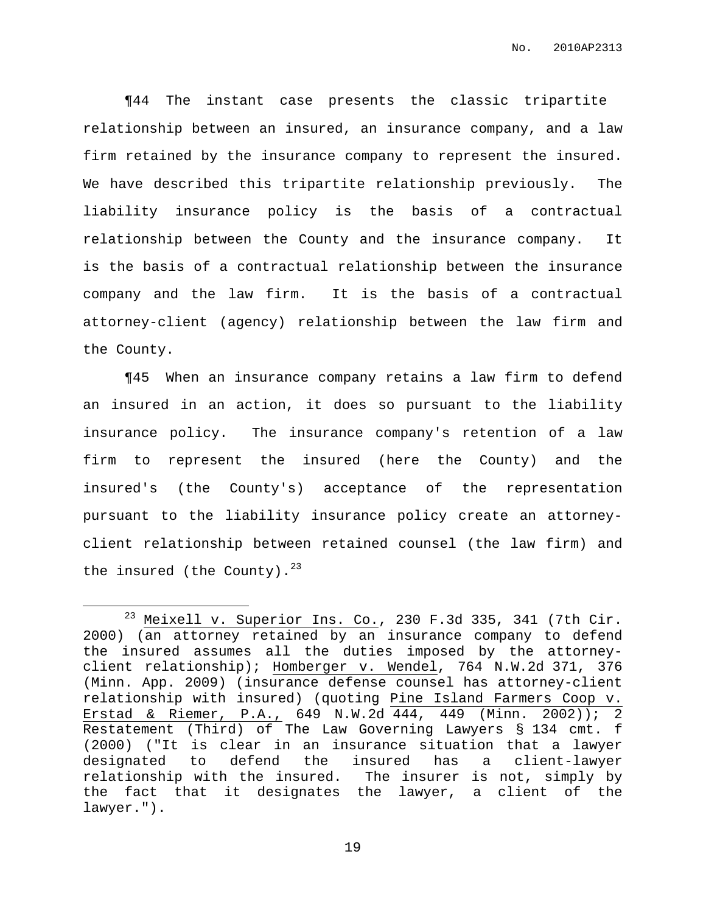¶44 The instant case presents the classic tripartite relationship between an insured, an insurance company, and a law firm retained by the insurance company to represent the insured. We have described this tripartite relationship previously. The liability insurance policy is the basis of a contractual relationship between the County and the insurance company. It is the basis of a contractual relationship between the insurance company and the law firm. It is the basis of a contractual attorney-client (agency) relationship between the law firm and the County.

¶45 When an insurance company retains a law firm to defend an insured in an action, it does so pursuant to the liability insurance policy. The insurance company's retention of a law firm to represent the insured (here the County) and the insured's (the County's) acceptance of the representation pursuant to the liability insurance policy create an attorneyclient relationship between retained counsel (the law firm) and the insured (the County). $^{23}$ 

 $23$  Meixell v. Superior Ins. Co., 230 F.3d 335, 341 (7th Cir. 2000) (an attorney retained by an insurance company to defend the insured assumes all the duties imposed by the attorneyclient relationship); Homberger v. Wendel, 764 N.W.2d 371, 376 (Minn. App. 2009) (insurance defense counsel has attorney-client relationship with insured) (quoting Pine Island [Farmers](https://a.next.westlaw.com/Link/Document/FullText?findType=Y&serNum=2002534599&pubNum=595&originationContext=document&transitionType=DocumentItem&contextData=(sc.DocLink)) Coop v. Erstad & Riemer, P.A., 649 N.W.2d 444, 449 (Minn. 2002)); 2 Restatement (Third) of The Law Governing Lawyers § 134 cmt. f (2000) ("It is clear in an insurance situation that a lawyer designated to defend the insured has a client-lawyer relationship with the insured. The insurer is not, simply by the fact that it designates the lawyer, a client of the lawyer.").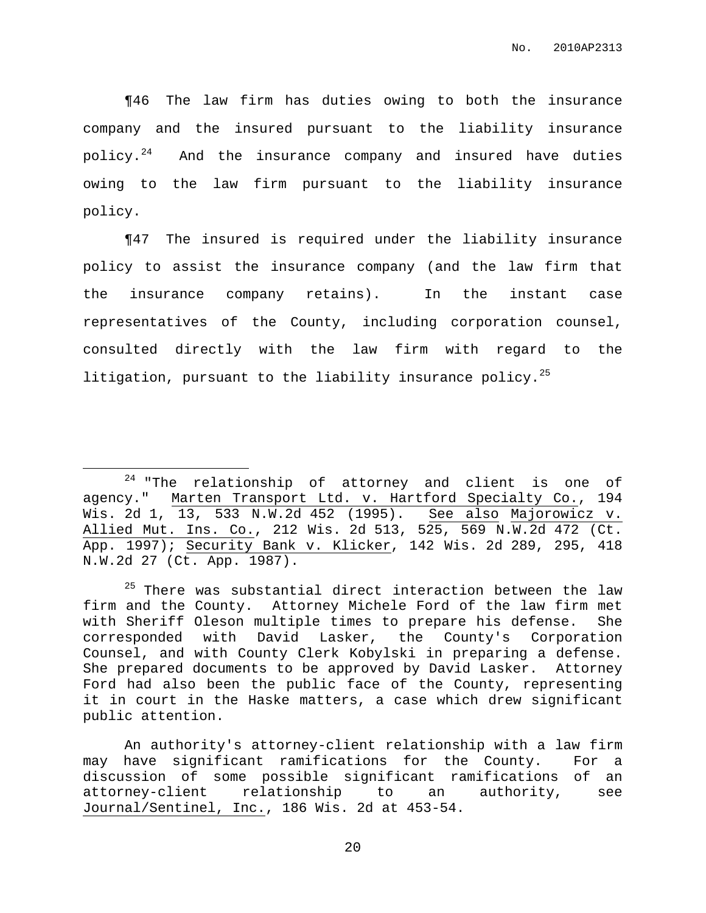¶46 The law firm has duties owing to both the insurance company and the insured pursuant to the liability insurance policy. $^{24}$ And the insurance company and insured have duties owing to the law firm pursuant to the liability insurance policy.

¶47 The insured is required under the liability insurance policy to assist the insurance company (and the law firm that the insurance company retains). In the instant case representatives of the County, including corporation counsel, consulted directly with the law firm with regard to the litigation, pursuant to the liability insurance policy. 25

An authority's attorney-client relationship with a law firm may have significant ramifications for the County. For a discussion of some possible significant ramifications of an attorney-client relationship to an authority, see Journal/Sentinel, Inc., 186 Wis. 2d at 453-54.

<sup>24</sup> "The relationship of attorney and client is one of agency." Marten Transport Ltd. v. Hartford Specialty Co., 194 Wis. 2d 1, 13, 533 N.W.2d 452 (1995). See also Majorowicz v. Allied Mut. Ins. Co., 212 Wis. 2d 513, 525, 569 N.W.2d 472 (Ct. App. 1997); Security Bank v. Klicker, 142 Wis. 2d 289, 295, 418 N.W.2d 27 (Ct. App. 1987).

 $25$  There was substantial direct interaction between the law firm and the County. Attorney Michele Ford of the law firm met with Sheriff Oleson multiple times to prepare his defense. She corresponded with David Lasker, the County's Corporation Counsel, and with County Clerk Kobylski in preparing a defense. She prepared documents to be approved by David Lasker. Attorney Ford had also been the public face of the County, representing it in court in the Haske matters, a case which drew significant public attention.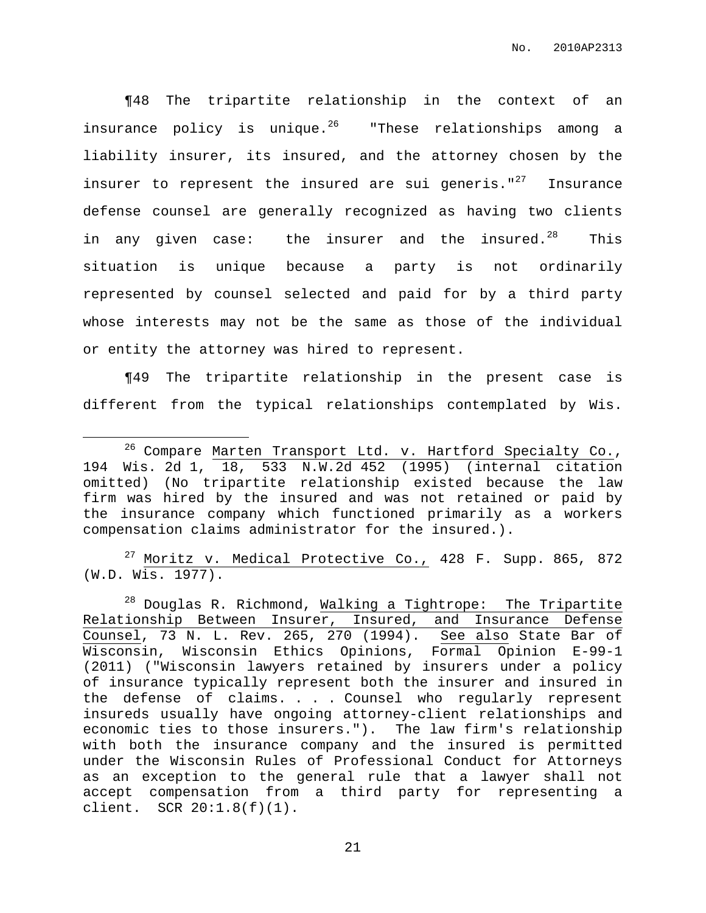¶48 The tripartite relationship in the context of an insurance policy is unique. <sup>26</sup> "These relationships among a liability insurer, its insured, and the attorney chosen by the insurer to represent the insured are sui generis."<sup>27</sup> Insurance defense counsel are generally recognized as having two clients in any given case: the insurer and the insured. $^{28}$ This situation is unique because a party is not ordinarily represented by counsel selected and paid for by a third party whose interests may not be the same as those of the individual or entity the attorney was hired to represent.

¶49 The tripartite relationship in the present case is different from the typical relationships contemplated by Wis.

 $27$  Moritz v. Medical Protective Co., 428 F. Supp. 865, 872 (W.D. Wis. 1977).

 $28$  Douglas R. Richmond, Walking a Tightrope: The Tripartite Relationship Between Insurer, Insured, and Insurance Defense Counsel, 73 N. L. Rev. 265, 270 (1994). See also State Bar of Wisconsin, Wisconsin Ethics Opinions, Formal Opinion E-99-1 (2011) ("Wisconsin lawyers retained by insurers under a policy of insurance typically represent both the insurer and insured in the defense of claims. . . . Counsel who regularly represent insureds usually have ongoing attorney-client relationships and economic ties to those insurers."). The law firm's relationship with both the insurance company and the insured is permitted under the Wisconsin Rules of Professional Conduct for Attorneys as an exception to the general rule that a lawyer shall not accept compensation from a third party for representing a client. SCR 20:1.8(f)(1).

<sup>&</sup>lt;sup>26</sup> Compare Marten Transport Ltd. v. Hartford Specialty Co., 194 Wis. 2d 1, 18, 533 N.W.2d 452 (1995) (internal citation omitted) (No tripartite relationship existed because the law firm was hired by the insured and was not retained or paid by the insurance company which functioned primarily as a workers compensation claims administrator for the insured.).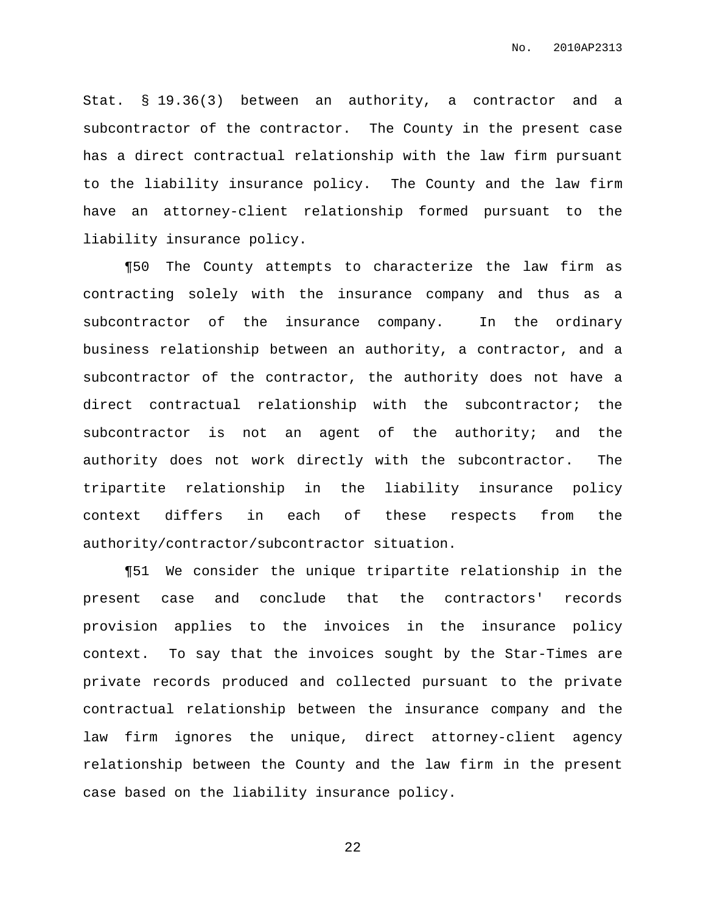Stat. § 19.36(3) between an authority, a contractor and a subcontractor of the contractor. The County in the present case has a direct contractual relationship with the law firm pursuant to the liability insurance policy. The County and the law firm have an attorney-client relationship formed pursuant to the liability insurance policy.

¶50 The County attempts to characterize the law firm as contracting solely with the insurance company and thus as a subcontractor of the insurance company. In the ordinary business relationship between an authority, a contractor, and a subcontractor of the contractor, the authority does not have a direct contractual relationship with the subcontractor; the subcontractor is not an agent of the authority; and the authority does not work directly with the subcontractor. The tripartite relationship in the liability insurance policy context differs in each of these respects from the authority/contractor/subcontractor situation.

¶51 We consider the unique tripartite relationship in the present case and conclude that the contractors' records provision applies to the invoices in the insurance policy context. To say that the invoices sought by the Star-Times are private records produced and collected pursuant to the private contractual relationship between the insurance company and the law firm ignores the unique, direct attorney-client agency relationship between the County and the law firm in the present case based on the liability insurance policy.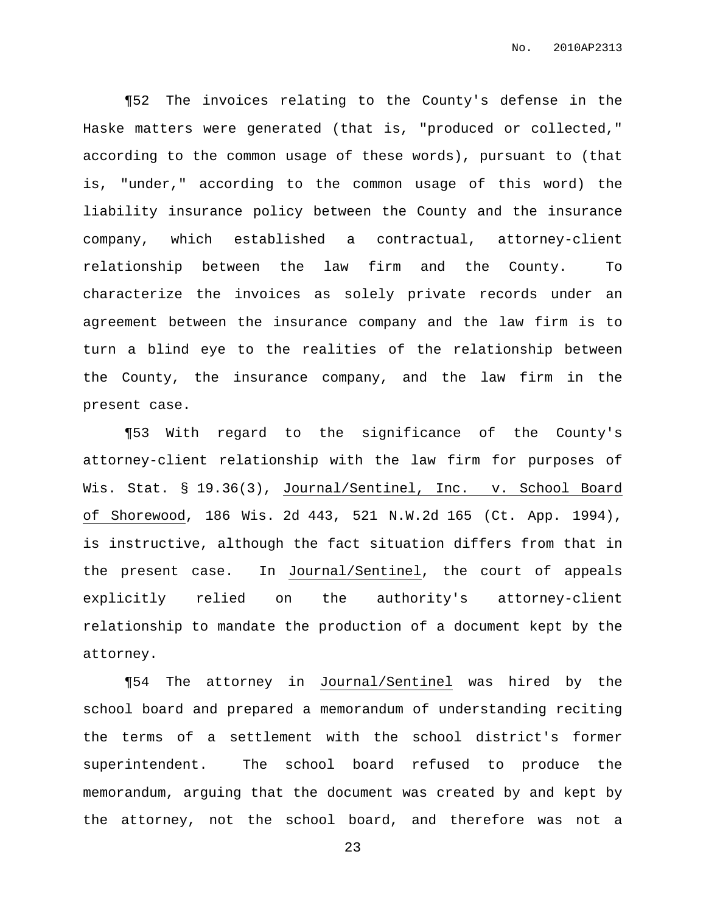¶52 The invoices relating to the County's defense in the Haske matters were generated (that is, "produced or collected," according to the common usage of these words), pursuant to (that is, "under," according to the common usage of this word) the liability insurance policy between the County and the insurance company, which established a contractual, attorney-client relationship between the law firm and the County. To characterize the invoices as solely private records under an agreement between the insurance company and the law firm is to turn a blind eye to the realities of the relationship between the County, the insurance company, and the law firm in the present case.

¶53 With regard to the significance of the County's attorney-client relationship with the law firm for purposes of Wis. Stat. § 19.36(3), Journal/Sentinel, Inc. v. School Board of Shorewood, 186 Wis. 2d 443, 521 N.W.2d 165 (Ct. App. 1994), is instructive, although the fact situation differs from that in the present case. In Journal/Sentinel, the court of appeals explicitly relied on the authority's attorney-client relationship to mandate the production of a document kept by the attorney.

¶54 The attorney in Journal/Sentinel was hired by the school board and prepared a memorandum of understanding reciting the terms of a settlement with the school district's former superintendent. The school board refused to produce the memorandum, arguing that the document was created by and kept by the attorney, not the school board, and therefore was not a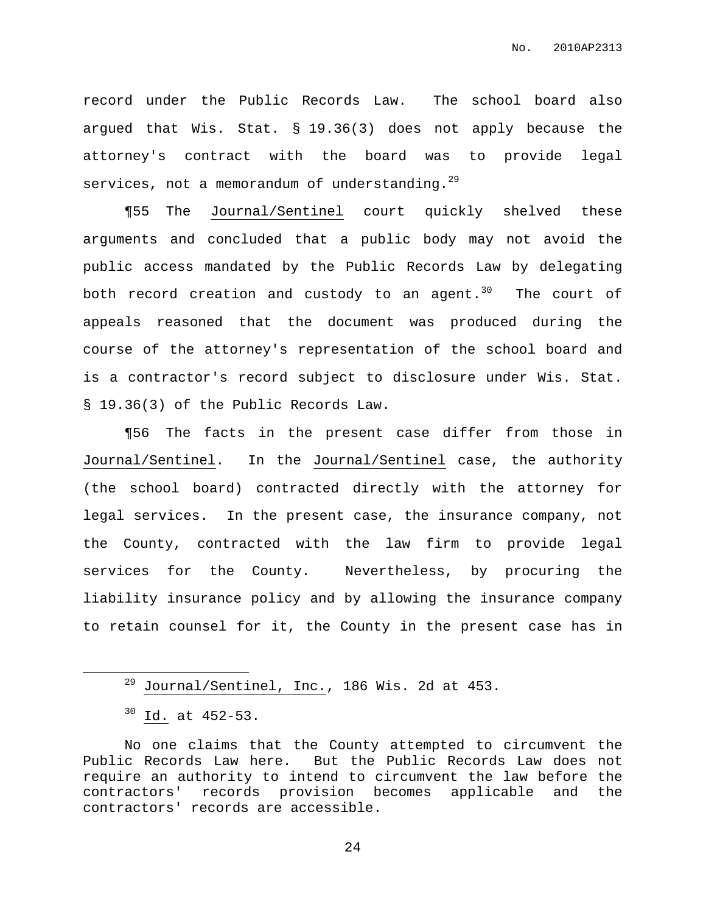record under the Public Records Law. The school board also argued that Wis. Stat. § 19.36(3) does not apply because the attorney's contract with the board was to provide legal services, not a memorandum of understanding. $^{29}$ 

¶55 The Journal/Sentinel court quickly shelved these arguments and concluded that a public body may not avoid the public access mandated by the Public Records Law by delegating both record creation and custody to an agent.<sup>30</sup> The court of appeals reasoned that the document was produced during the course of the attorney's representation of the school board and is a contractor's record subject to disclosure under Wis. Stat. § 19.36(3) of the Public Records Law.

¶56 The facts in the present case differ from those in Journal/Sentinel. In the Journal/Sentinel case, the authority (the school board) contracted directly with the attorney for legal services. In the present case, the insurance company, not the County, contracted with the law firm to provide legal services for the County. Nevertheless, by procuring the liability insurance policy and by allowing the insurance company to retain counsel for it, the County in the present case has in

 $^{29}$  Journal/Sentinel, Inc., 186 Wis. 2d at 453.

<sup>30</sup> Id. at 452-53.

No one claims that the County attempted to circumvent the Public Records Law here. But the Public Records Law does not require an authority to intend to circumvent the law before the contractors' records provision becomes applicable and the contractors' records are accessible.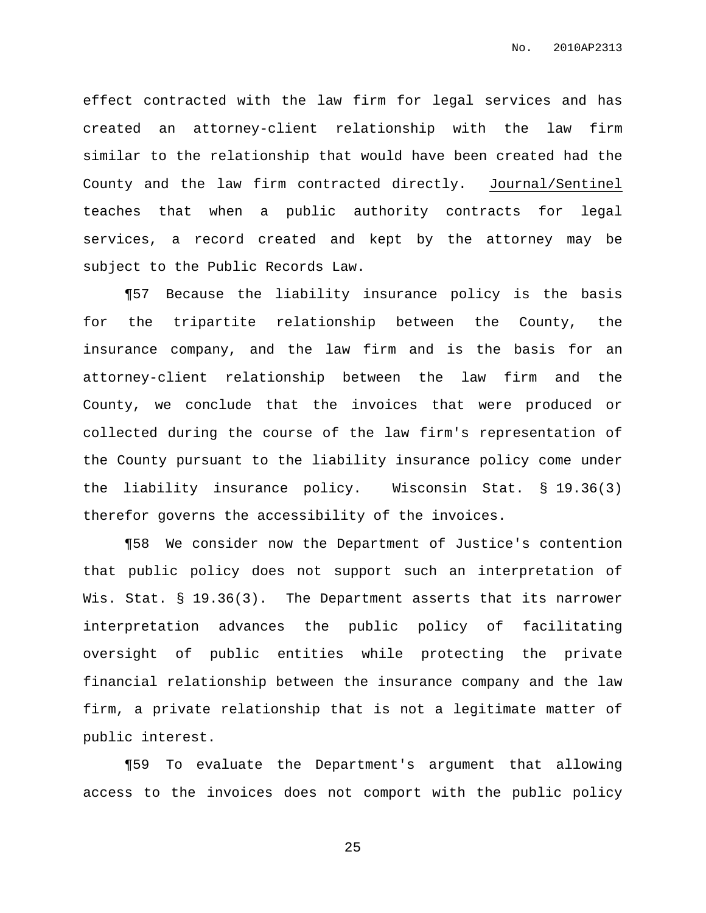effect contracted with the law firm for legal services and has created an attorney-client relationship with the law firm similar to the relationship that would have been created had the County and the law firm contracted directly. Journal/Sentinel teaches that when a public authority contracts for legal services, a record created and kept by the attorney may be subject to the Public Records Law.

¶57 Because the liability insurance policy is the basis for the tripartite relationship between the County, the insurance company, and the law firm and is the basis for an attorney-client relationship between the law firm and the County, we conclude that the invoices that were produced or collected during the course of the law firm's representation of the County pursuant to the liability insurance policy come under the liability insurance policy. Wisconsin Stat. § 19.36(3) therefor governs the accessibility of the invoices.

¶58 We consider now the Department of Justice's contention that public policy does not support such an interpretation of Wis. Stat. § 19.36(3). The Department asserts that its narrower interpretation advances the public policy of facilitating oversight of public entities while protecting the private financial relationship between the insurance company and the law firm, a private relationship that is not a legitimate matter of public interest.

¶59 To evaluate the Department's argument that allowing access to the invoices does not comport with the public policy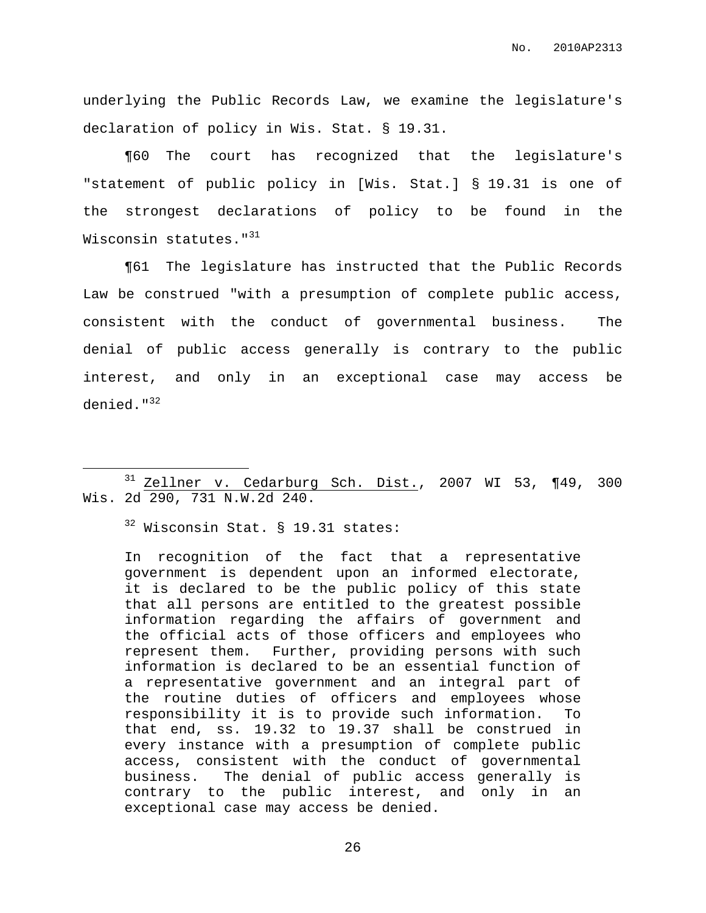underlying the Public Records Law, we examine the legislature's declaration of policy in Wis. Stat. § 19.31.

¶60 The court has recognized that the legislature's "statement of public policy in [Wis. Stat.] § 19.31 is one of the strongest declarations of policy to be found in the Wisconsin statutes."<sup>31</sup>

¶61 The legislature has instructed that the Public Records Law be construed "with a presumption of complete public access, consistent with the conduct of governmental business. The denial of public access generally is contrary to the public interest, and only in an exceptional case may access be denied."<sup>32</sup>

<sup>32</sup> Wisconsin Stat. § 19.31 states:

In recognition of the fact that a representative government is dependent upon an informed electorate, it is declared to be the public policy of this state that all persons are entitled to the greatest possible information regarding the affairs of government and the official acts of those officers and employees who represent them. Further, providing persons with such information is declared to be an essential function of a representative government and an integral part of the routine duties of officers and employees whose responsibility it is to provide such information. To that end, ss. 19.32 to 19.37 shall be construed in every instance with a presumption of complete public access, consistent with the conduct of governmental business. The denial of public access generally is contrary to the public interest, and only in an exceptional case may access be denied.

<sup>31</sup> Zellner v. Cedarburg Sch. Dist., 2007 WI 53, ¶49, 300 Wis. 2d 290, 731 N.W.2d 240.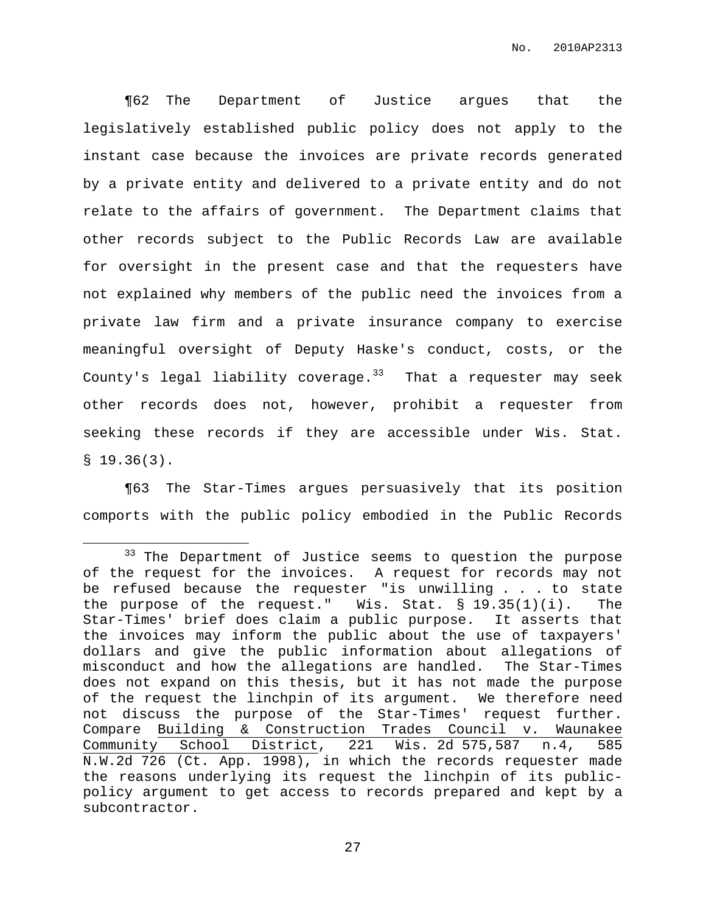¶62 The Department of Justice argues that the legislatively established public policy does not apply to the instant case because the invoices are private records generated by a private entity and delivered to a private entity and do not relate to the affairs of government. The Department claims that other records subject to the Public Records Law are available for oversight in the present case and that the requesters have not explained why members of the public need the invoices from a private law firm and a private insurance company to exercise meaningful oversight of Deputy Haske's conduct, costs, or the County's legal liability coverage.<sup>33</sup> That a requester may seek other records does not, however, prohibit a requester from seeking these records if they are accessible under Wis. Stat.  $$19.36(3).$ 

¶63 The Star-Times argues persuasively that its position comports with the public policy embodied in the Public Records

<sup>&</sup>lt;sup>33</sup> The Department of Justice seems to question the purpose of the request for the invoices. A request for records may not be refused because the requester "is unwilling . . . to state the purpose of the request." Wis. Stat.  $\S$  19.35(1)(i). The Star-Times' brief does claim a public purpose. It asserts that the invoices may inform the public about the use of taxpayers' dollars and give the public information about allegations of misconduct and how the allegations are handled. The Star-Times does not expand on this thesis, but it has not made the purpose of the request the linchpin of its argument. We therefore need not discuss the purpose of the Star-Times' request further. Compare Building & Construction Trades Council v. Waunakee Community School District, 221 Wis. 2d 575,587 n.4, 585 N.W.2d 726 (Ct. App. 1998), in which the records requester made the reasons underlying its request the linchpin of its publicpolicy argument to get access to records prepared and kept by a subcontractor.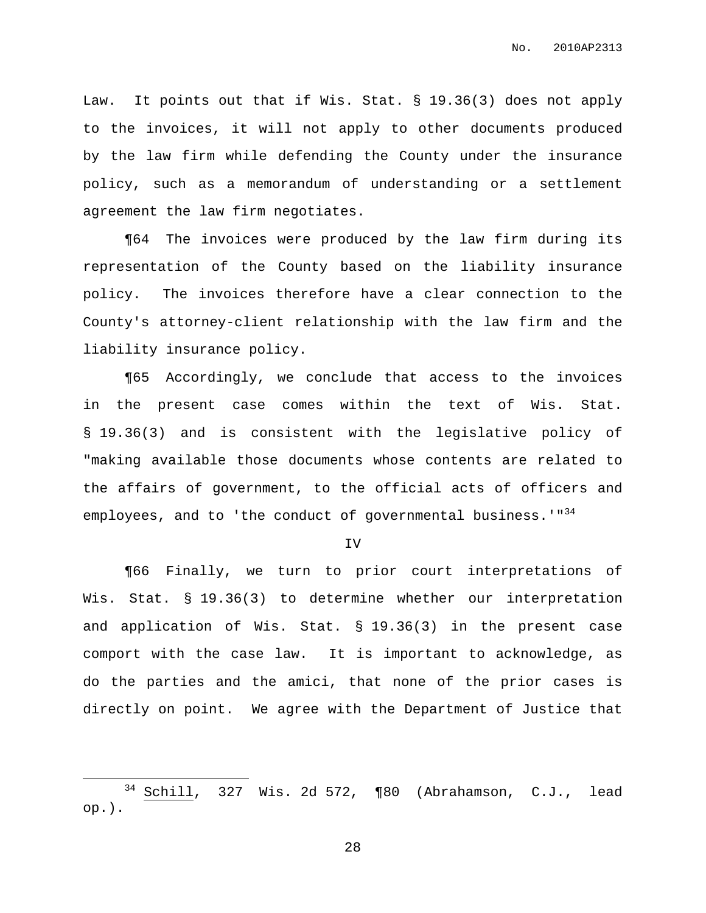Law. It points out that if Wis. Stat. § 19.36(3) does not apply to the invoices, it will not apply to other documents produced by the law firm while defending the County under the insurance policy, such as a memorandum of understanding or a settlement agreement the law firm negotiates.

¶64 The invoices were produced by the law firm during its representation of the County based on the liability insurance policy. The invoices therefore have a clear connection to the County's attorney-client relationship with the law firm and the liability insurance policy.

¶65 Accordingly, we conclude that access to the invoices in the present case comes within the text of Wis. Stat. § 19.36(3) and is consistent with the legislative policy of "making available those documents whose contents are related to the affairs of government, to the official acts of officers and employees, and to 'the conduct of governmental business.'"<sup>34</sup>

IV

¶66 Finally, we turn to prior court interpretations of Wis. Stat. § 19.36(3) to determine whether our interpretation and application of Wis. Stat. § 19.36(3) in the present case comport with the case law. It is important to acknowledge, as do the parties and the amici, that none of the prior cases is directly on point. We agree with the Department of Justice that

 $34$  Schill, 327 Wis. 2d 572, ¶80 (Abrahamson, C.J., lead op.).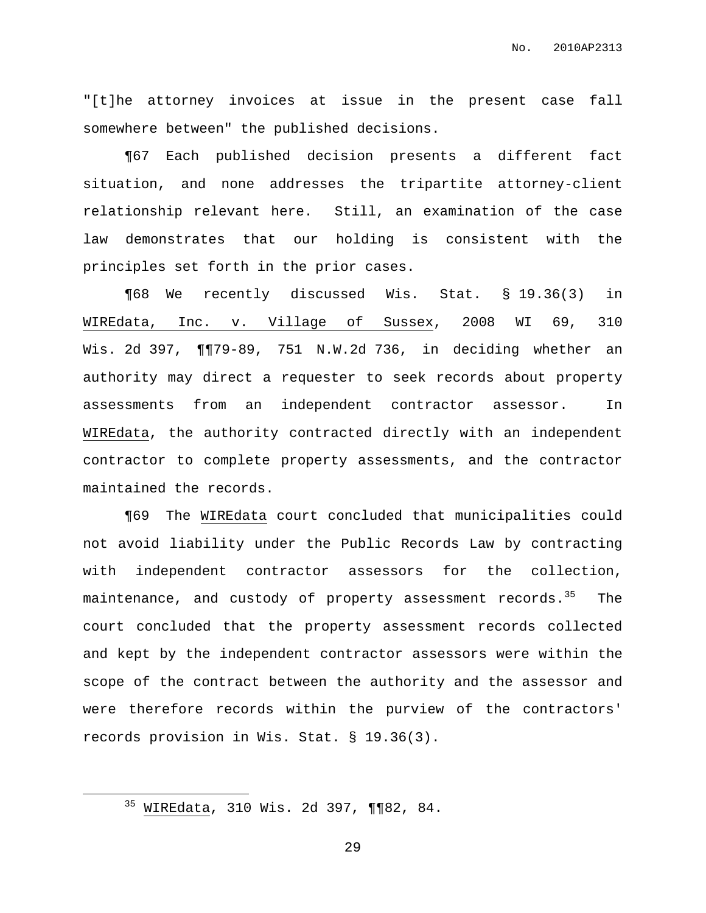"[t]he attorney invoices at issue in the present case fall somewhere between" the published decisions.

¶67 Each published decision presents a different fact situation, and none addresses the tripartite attorney-client relationship relevant here. Still, an examination of the case law demonstrates that our holding is consistent with the principles set forth in the prior cases.

¶68 We recently discussed Wis. Stat. § 19.36(3) in WIREdata, Inc. v. Village of Sussex, 2008 WI 69, 310 Wis. 2d 397, ¶¶79-89, 751 N.W.2d 736, in deciding whether an authority may direct a requester to seek records about property assessments from an independent contractor assessor. In WIREdata, the authority contracted directly with an independent contractor to complete property assessments, and the contractor maintained the records.

¶69 The WIREdata court concluded that municipalities could not avoid liability under the Public Records Law by contracting with independent contractor assessors for the collection, maintenance, and custody of property assessment records.<sup>35</sup> The court concluded that the property assessment records collected and kept by the independent contractor assessors were within the scope of the contract between the authority and the assessor and were therefore records within the purview of the contractors' records provision in Wis. Stat. § 19.36(3).

<sup>35</sup> WIREdata, 310 Wis. 2d 397, ¶¶82, 84.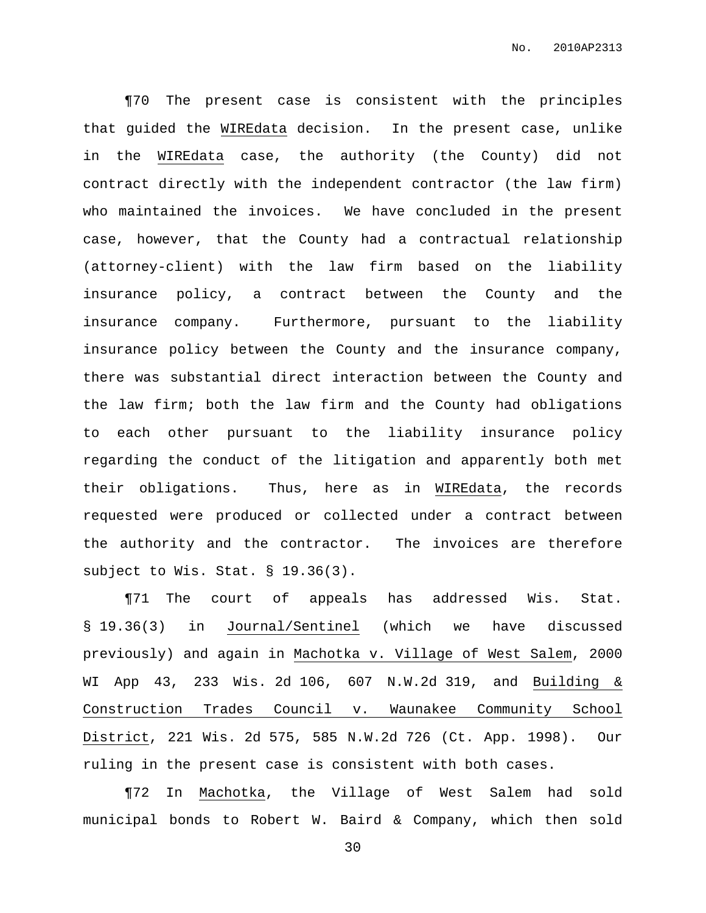¶70 The present case is consistent with the principles that guided the WIREdata decision. In the present case, unlike in the WIREdata case, the authority (the County) did not contract directly with the independent contractor (the law firm) who maintained the invoices. We have concluded in the present case, however, that the County had a contractual relationship (attorney-client) with the law firm based on the liability insurance policy, a contract between the County and the insurance company. Furthermore, pursuant to the liability insurance policy between the County and the insurance company, there was substantial direct interaction between the County and the law firm; both the law firm and the County had obligations to each other pursuant to the liability insurance policy regarding the conduct of the litigation and apparently both met their obligations. Thus, here as in WIREdata, the records requested were produced or collected under a contract between the authority and the contractor. The invoices are therefore subject to Wis. Stat. § 19.36(3).

¶71 The court of appeals has addressed Wis. Stat. § 19.36(3) in Journal/Sentinel (which we have discussed previously) and again in Machotka v. Village of West Salem, 2000 WI App 43, 233 Wis. 2d 106, 607 N.W.2d 319, and Building & Construction Trades Council v. Waunakee Community School District, 221 Wis. 2d 575, 585 N.W.2d 726 (Ct. App. 1998). Our ruling in the present case is consistent with both cases.

¶72 In Machotka, the Village of West Salem had sold municipal bonds to Robert W. Baird & Company, which then sold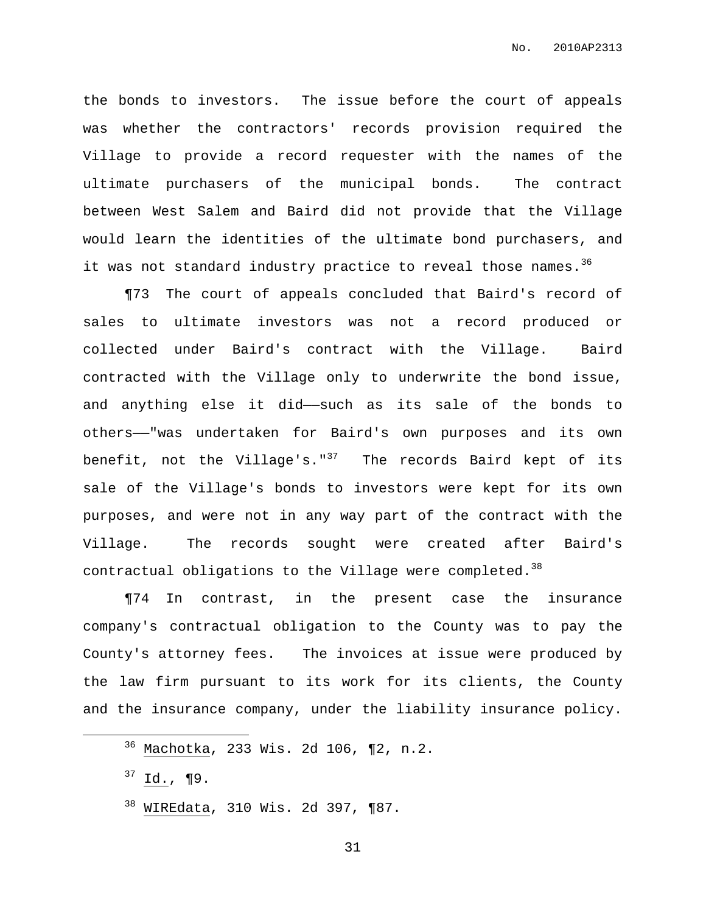the bonds to investors. The issue before the court of appeals was whether the contractors' records provision required the Village to provide a record requester with the names of the ultimate purchasers of the municipal bonds. The contract between West Salem and Baird did not provide that the Village would learn the identities of the ultimate bond purchasers, and it was not standard industry practice to reveal those names.<sup>36</sup>

¶73 The court of appeals concluded that Baird's record of sales to ultimate investors was not a record produced or collected under Baird's contract with the Village. Baird contracted with the Village only to underwrite the bond issue, and anything else it did-such as its sale of the bonds to others——"was undertaken for Baird's own purposes and its own benefit, not the Village's."<sup>37</sup> The records Baird kept of its sale of the Village's bonds to investors were kept for its own purposes, and were not in any way part of the contract with the Village. The records sought were created after Baird's contractual obligations to the Village were completed.  $^{38}$ 

¶74 In contrast, in the present case the insurance company's contractual obligation to the County was to pay the County's attorney fees. The invoices at issue were produced by the law firm pursuant to its work for its clients, the County and the insurance company, under the liability insurance policy.

<sup>38</sup> WIREdata, 310 Wis. 2d 397, ¶87.

<sup>36</sup> Machotka, 233 Wis. 2d 106, ¶2, n.2.

 $37$  Id., ¶9.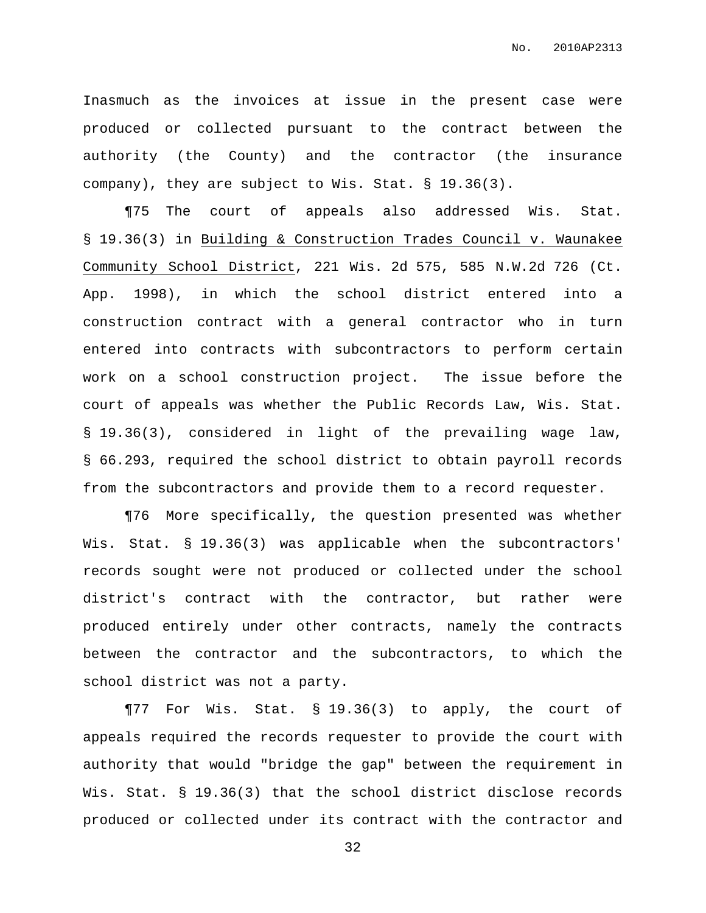Inasmuch as the invoices at issue in the present case were produced or collected pursuant to the contract between the authority (the County) and the contractor (the insurance company), they are subject to Wis. Stat. § 19.36(3).

¶75 The court of appeals also addressed Wis. Stat. § 19.36(3) in Building & Construction Trades Council v. Waunakee Community School District, 221 Wis. 2d 575, 585 N.W.2d 726 (Ct. App. 1998), in which the school district entered into a construction contract with a general contractor who in turn entered into contracts with subcontractors to perform certain work on a school construction project. The issue before the court of appeals was whether the Public Records Law, Wis. Stat. § 19.36(3), considered in light of the prevailing wage law, § 66.293, required the school district to obtain payroll records from the subcontractors and provide them to a record requester.

¶76 More specifically, the question presented was whether Wis. Stat. § 19.36(3) was applicable when the subcontractors' records sought were not produced or collected under the school district's contract with the contractor, but rather were produced entirely under other contracts, namely the contracts between the contractor and the subcontractors, to which the school district was not a party.

¶77 For Wis. Stat. § 19.36(3) to apply, the court of appeals required the records requester to provide the court with authority that would "bridge the gap" between the requirement in Wis. Stat. § 19.36(3) that the school district disclose records produced or collected under its contract with the contractor and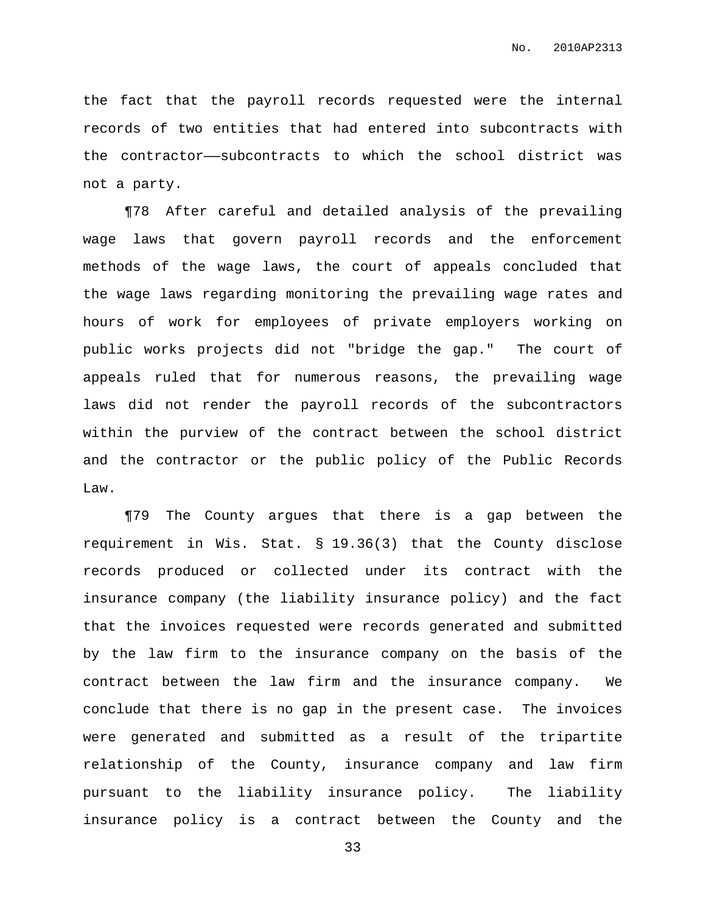the fact that the payroll records requested were the internal records of two entities that had entered into subcontracts with the contractor—subcontracts to which the school district was not a party.

¶78 After careful and detailed analysis of the prevailing wage laws that govern payroll records and the enforcement methods of the wage laws, the court of appeals concluded that the wage laws regarding monitoring the prevailing wage rates and hours of work for employees of private employers working on public works projects did not "bridge the gap." The court of appeals ruled that for numerous reasons, the prevailing wage laws did not render the payroll records of the subcontractors within the purview of the contract between the school district and the contractor or the public policy of the Public Records Law.

¶79 The County argues that there is a gap between the requirement in Wis. Stat. § 19.36(3) that the County disclose records produced or collected under its contract with the insurance company (the liability insurance policy) and the fact that the invoices requested were records generated and submitted by the law firm to the insurance company on the basis of the contract between the law firm and the insurance company. We conclude that there is no gap in the present case. The invoices were generated and submitted as a result of the tripartite relationship of the County, insurance company and law firm pursuant to the liability insurance policy. The liability insurance policy is a contract between the County and the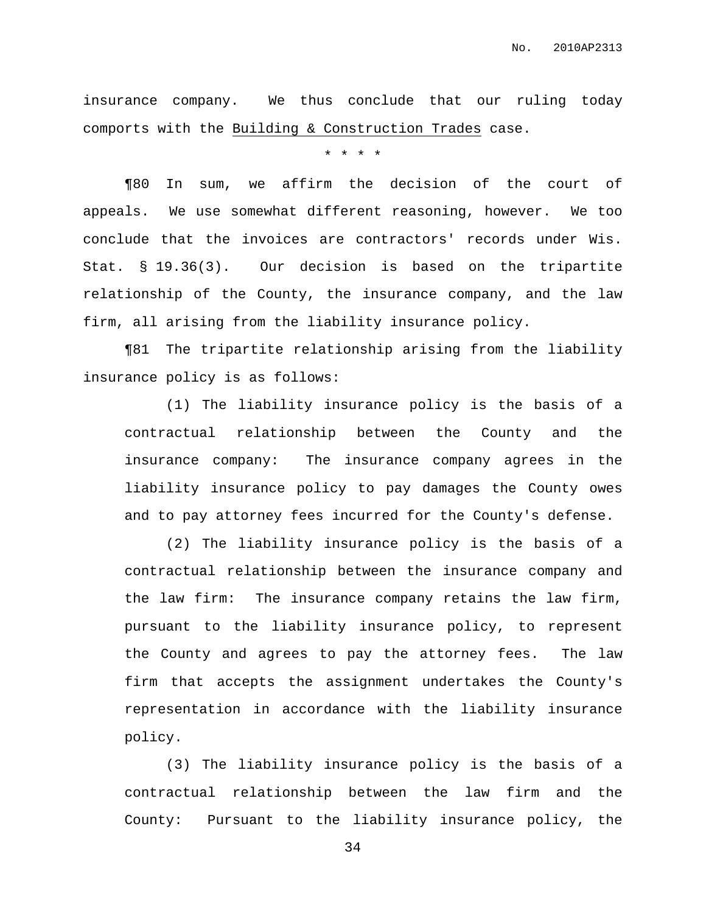insurance company. We thus conclude that our ruling today comports with the Building & Construction Trades case.

\* \* \* \*

¶80 In sum, we affirm the decision of the court of appeals. We use somewhat different reasoning, however. We too conclude that the invoices are contractors' records under Wis. Stat. § 19.36(3). Our decision is based on the tripartite relationship of the County, the insurance company, and the law firm, all arising from the liability insurance policy.

¶81 The tripartite relationship arising from the liability insurance policy is as follows:

(1) The liability insurance policy is the basis of a contractual relationship between the County and the insurance company: The insurance company agrees in the liability insurance policy to pay damages the County owes and to pay attorney fees incurred for the County's defense.

(2) The liability insurance policy is the basis of a contractual relationship between the insurance company and the law firm: The insurance company retains the law firm, pursuant to the liability insurance policy, to represent the County and agrees to pay the attorney fees. The law firm that accepts the assignment undertakes the County's representation in accordance with the liability insurance policy.

(3) The liability insurance policy is the basis of a contractual relationship between the law firm and the County: Pursuant to the liability insurance policy, the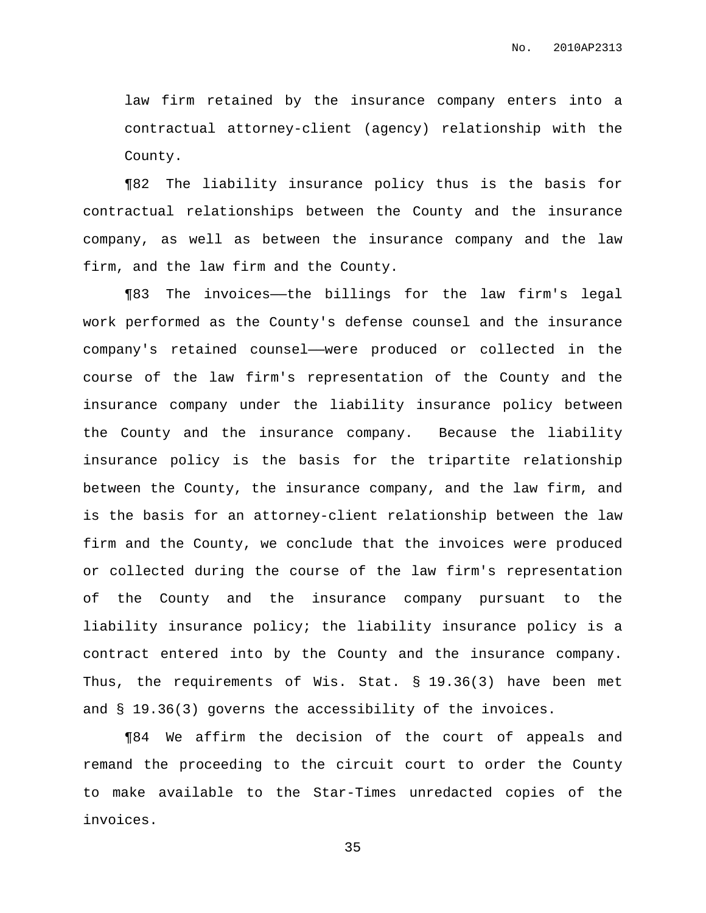law firm retained by the insurance company enters into a contractual attorney-client (agency) relationship with the County.

¶82 The liability insurance policy thus is the basis for contractual relationships between the County and the insurance company, as well as between the insurance company and the law firm, and the law firm and the County.

¶83 The invoices——the billings for the law firm's legal work performed as the County's defense counsel and the insurance company's retained counsel——were produced or collected in the course of the law firm's representation of the County and the insurance company under the liability insurance policy between the County and the insurance company. Because the liability insurance policy is the basis for the tripartite relationship between the County, the insurance company, and the law firm, and is the basis for an attorney-client relationship between the law firm and the County, we conclude that the invoices were produced or collected during the course of the law firm's representation of the County and the insurance company pursuant to the liability insurance policy; the liability insurance policy is a contract entered into by the County and the insurance company. Thus, the requirements of Wis. Stat. § 19.36(3) have been met and § 19.36(3) governs the accessibility of the invoices.

¶84 We affirm the decision of the court of appeals and remand the proceeding to the circuit court to order the County to make available to the Star-Times unredacted copies of the invoices.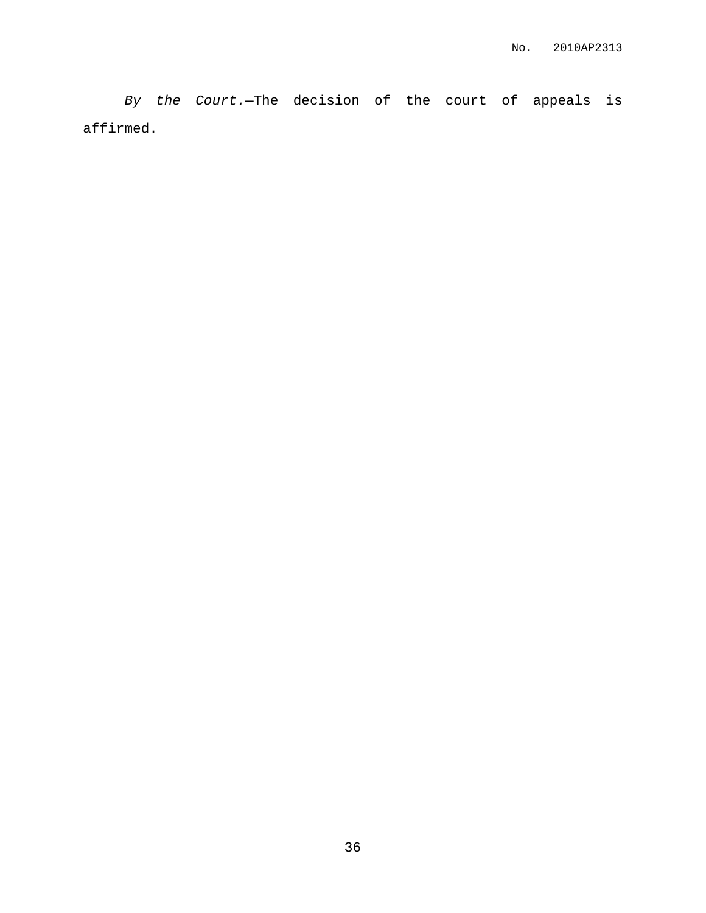By the Court.—The decision of the court of appeals is affirmed.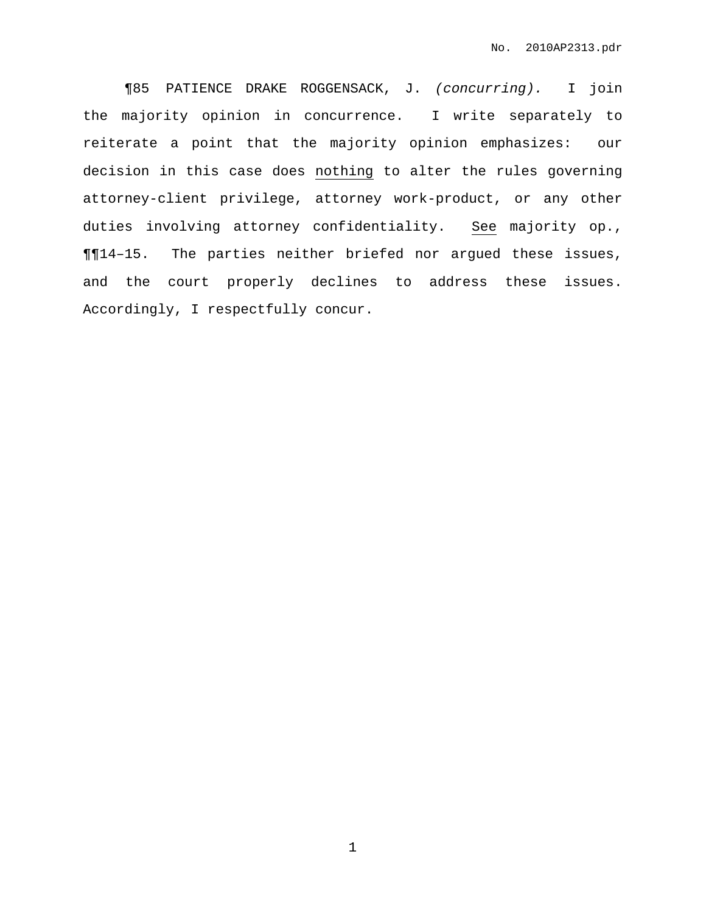¶85 PATIENCE DRAKE ROGGENSACK, J. (concurring). I join the majority opinion in concurrence. I write separately to reiterate a point that the majority opinion emphasizes: our decision in this case does nothing to alter the rules governing attorney-client privilege, attorney work-product, or any other duties involving attorney confidentiality. See majority op., ¶¶14–15. The parties neither briefed nor argued these issues, and the court properly declines to address these issues. Accordingly, I respectfully concur.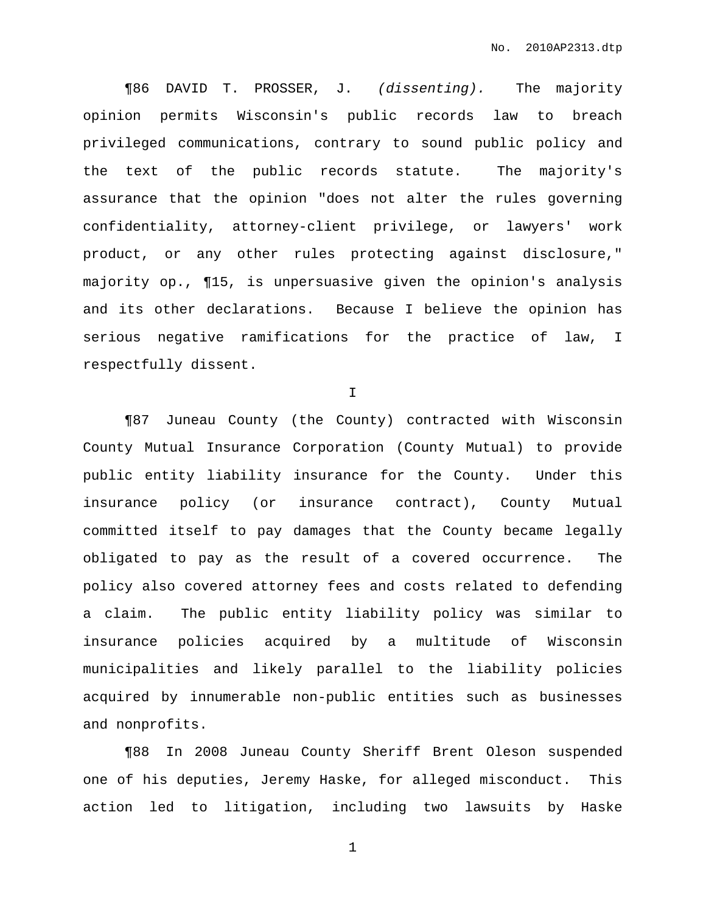¶86 DAVID T. PROSSER, J. (dissenting). The majority opinion permits Wisconsin's public records law to breach privileged communications, contrary to sound public policy and the text of the public records statute. The majority's assurance that the opinion "does not alter the rules governing confidentiality, attorney-client privilege, or lawyers' work product, or any other rules protecting against disclosure," majority op., ¶15, is unpersuasive given the opinion's analysis and its other declarations. Because I believe the opinion has serious negative ramifications for the practice of law, I respectfully dissent.

I

¶87 Juneau County (the County) contracted with Wisconsin County Mutual Insurance Corporation (County Mutual) to provide public entity liability insurance for the County. Under this insurance policy (or insurance contract), County Mutual committed itself to pay damages that the County became legally obligated to pay as the result of a covered occurrence. The policy also covered attorney fees and costs related to defending a claim. The public entity liability policy was similar to insurance policies acquired by a multitude of Wisconsin municipalities and likely parallel to the liability policies acquired by innumerable non-public entities such as businesses and nonprofits.

¶88 In 2008 Juneau County Sheriff Brent Oleson suspended one of his deputies, Jeremy Haske, for alleged misconduct. This action led to litigation, including two lawsuits by Haske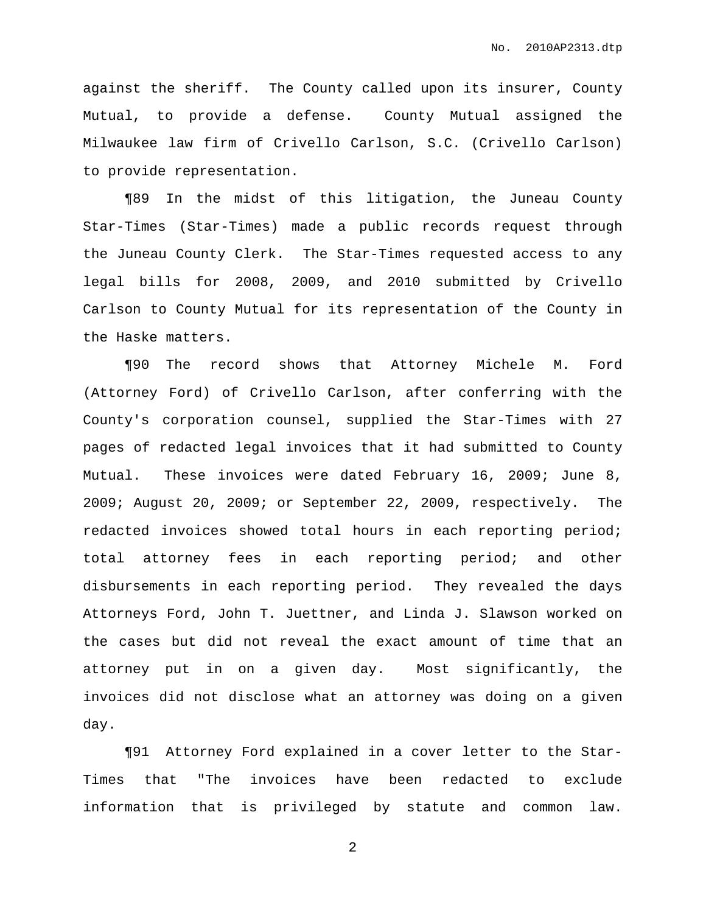against the sheriff. The County called upon its insurer, County Mutual, to provide a defense. County Mutual assigned the Milwaukee law firm of Crivello Carlson, S.C. (Crivello Carlson) to provide representation.

¶89 In the midst of this litigation, the Juneau County Star-Times (Star-Times) made a public records request through the Juneau County Clerk. The Star-Times requested access to any legal bills for 2008, 2009, and 2010 submitted by Crivello Carlson to County Mutual for its representation of the County in the Haske matters.

¶90 The record shows that Attorney Michele M. Ford (Attorney Ford) of Crivello Carlson, after conferring with the County's corporation counsel, supplied the Star-Times with 27 pages of redacted legal invoices that it had submitted to County Mutual. These invoices were dated February 16, 2009; June 8, 2009; August 20, 2009; or September 22, 2009, respectively. The redacted invoices showed total hours in each reporting period; total attorney fees in each reporting period; and other disbursements in each reporting period. They revealed the days Attorneys Ford, John T. Juettner, and Linda J. Slawson worked on the cases but did not reveal the exact amount of time that an attorney put in on a given day. Most significantly, the invoices did not disclose what an attorney was doing on a given day.

¶91 Attorney Ford explained in a cover letter to the Star-Times that "The invoices have been redacted to exclude information that is privileged by statute and common law.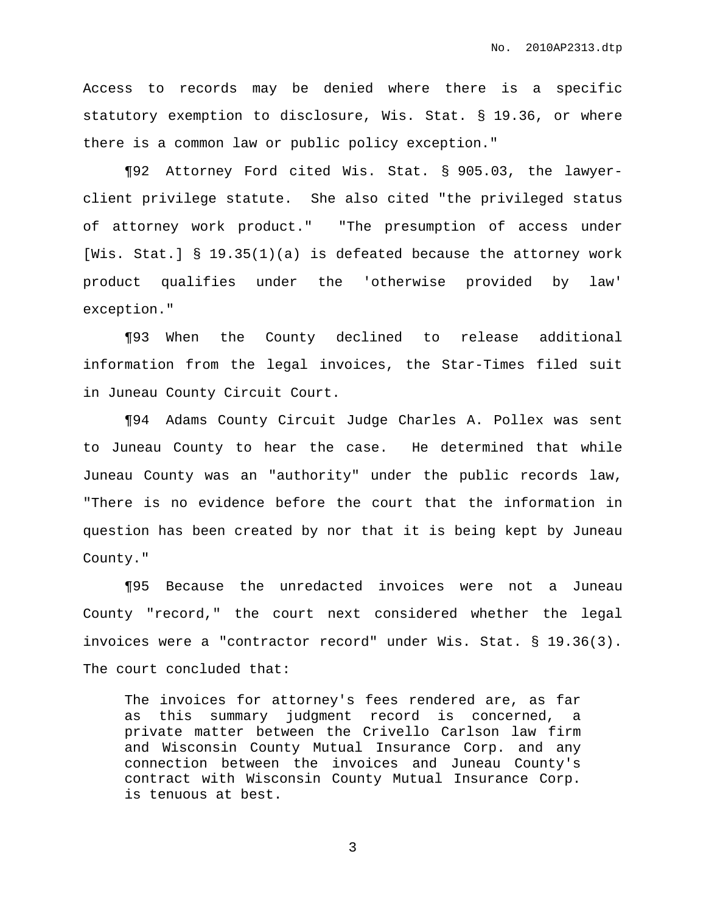Access to records may be denied where there is a specific statutory exemption to disclosure, Wis. Stat. § 19.36, or where there is a common law or public policy exception."

¶92 Attorney Ford cited Wis. Stat. § 905.03, the lawyerclient privilege statute. She also cited "the privileged status of attorney work product." "The presumption of access under [Wis. Stat.] § 19.35(1)(a) is defeated because the attorney work product qualifies under the 'otherwise provided by law' exception."

¶93 When the County declined to release additional information from the legal invoices, the Star-Times filed suit in Juneau County Circuit Court.

¶94 Adams County Circuit Judge Charles A. Pollex was sent to Juneau County to hear the case. He determined that while Juneau County was an "authority" under the public records law, "There is no evidence before the court that the information in question has been created by nor that it is being kept by Juneau County."

¶95 Because the unredacted invoices were not a Juneau County "record," the court next considered whether the legal invoices were a "contractor record" under Wis. Stat. § 19.36(3). The court concluded that:

The invoices for attorney's fees rendered are, as far as this summary judgment record is concerned, a private matter between the Crivello Carlson law firm and Wisconsin County Mutual Insurance Corp. and any connection between the invoices and Juneau County's contract with Wisconsin County Mutual Insurance Corp. is tenuous at best.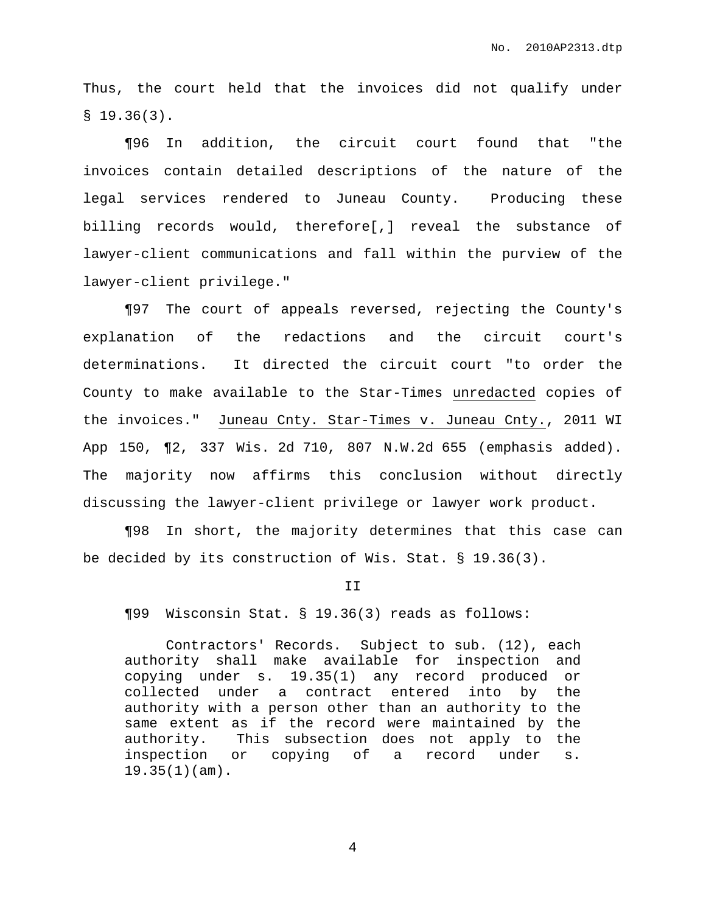Thus, the court held that the invoices did not qualify under  $$19.36(3)$ .

¶96 In addition, the circuit court found that "the invoices contain detailed descriptions of the nature of the legal services rendered to Juneau County. Producing these billing records would, therefore[,] reveal the substance of lawyer-client communications and fall within the purview of the lawyer-client privilege."

¶97 The court of appeals reversed, rejecting the County's explanation of the redactions and the circuit court's determinations. It directed the circuit court "to order the County to make available to the Star-Times unredacted copies of the invoices." Juneau Cnty. Star-Times v. Juneau Cnty., 2011 WI App 150, ¶2, 337 Wis. 2d 710, 807 N.W.2d 655 (emphasis added). The majority now affirms this conclusion without directly discussing the lawyer-client privilege or lawyer work product.

¶98 In short, the majority determines that this case can be decided by its construction of Wis. Stat. § 19.36(3).

#### II

¶99 Wisconsin Stat. § 19.36(3) reads as follows:

Contractors' Records. Subject to sub. (12), each authority shall make available for inspection and copying under s. 19.35(1) any record produced or collected under a contract entered into by the authority with a person other than an authority to the same extent as if the record were maintained by the authority. This subsection does not apply to the inspection or copying of a record under s. 19.35(1)(am).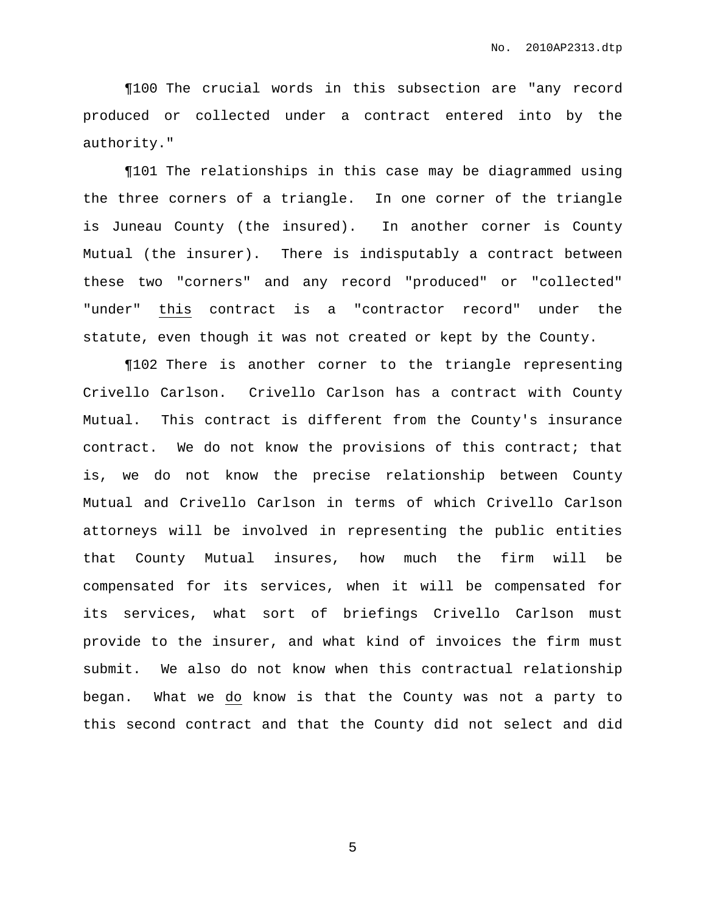¶100 The crucial words in this subsection are "any record produced or collected under a contract entered into by the authority."

¶101 The relationships in this case may be diagrammed using the three corners of a triangle. In one corner of the triangle is Juneau County (the insured). In another corner is County Mutual (the insurer). There is indisputably a contract between these two "corners" and any record "produced" or "collected" "under" this contract is a "contractor record" under the statute, even though it was not created or kept by the County.

¶102 There is another corner to the triangle representing Crivello Carlson. Crivello Carlson has a contract with County Mutual. This contract is different from the County's insurance contract. We do not know the provisions of this contract; that is, we do not know the precise relationship between County Mutual and Crivello Carlson in terms of which Crivello Carlson attorneys will be involved in representing the public entities that County Mutual insures, how much the firm will be compensated for its services, when it will be compensated for its services, what sort of briefings Crivello Carlson must provide to the insurer, and what kind of invoices the firm must submit. We also do not know when this contractual relationship began. What we do know is that the County was not a party to this second contract and that the County did not select and did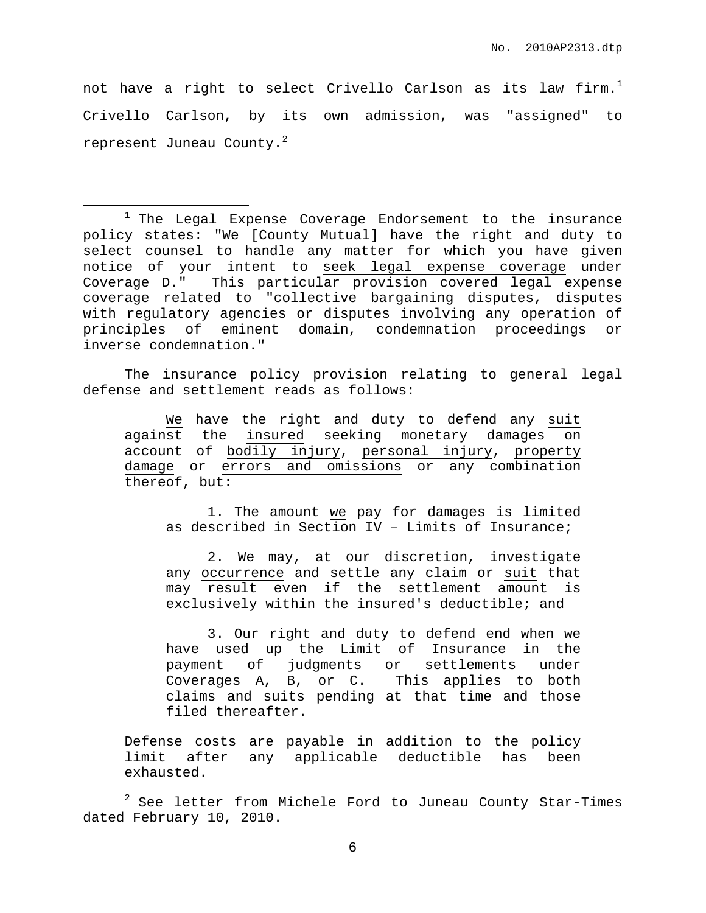not have a right to select Crivello Carlson as its law firm. $^{\rm l}$ Crivello Carlson, by its own admission, was "assigned" to represent Juneau County. $^2$ 

<sup>1</sup> The Legal Expense Coverage Endorsement to the insurance policy states: "We [County Mutual] have the right and duty to select counsel to handle any matter for which you have given notice of your intent to seek legal expense coverage under Coverage D." This particular provision covered legal expense coverage related to "collective bargaining disputes, disputes with regulatory agencies or disputes involving any operation of principles of eminent domain, condemnation proceedings or inverse condemnation."

The insurance policy provision relating to general legal defense and settlement reads as follows:

We have the right and duty to defend any suit against the insured seeking monetary damages on account of bodily injury, personal injury, property damage or errors and omissions or any combination thereof, but:

1. The amount we pay for damages is limited as described in Section IV – Limits of Insurance;

2. We may, at our discretion, investigate any occurrence and settle any claim or suit that may result even if the settlement amount is exclusively within the insured's deductible; and

3. Our right and duty to defend end when we have used up the Limit of Insurance in the payment of judgments or settlements under Coverages A, B, or C. This applies to both claims and suits pending at that time and those filed thereafter.

Defense costs are payable in addition to the policy limit after any applicable deductible has been exhausted.

 $2$  See letter from Michele Ford to Juneau County Star-Times dated February 10, 2010.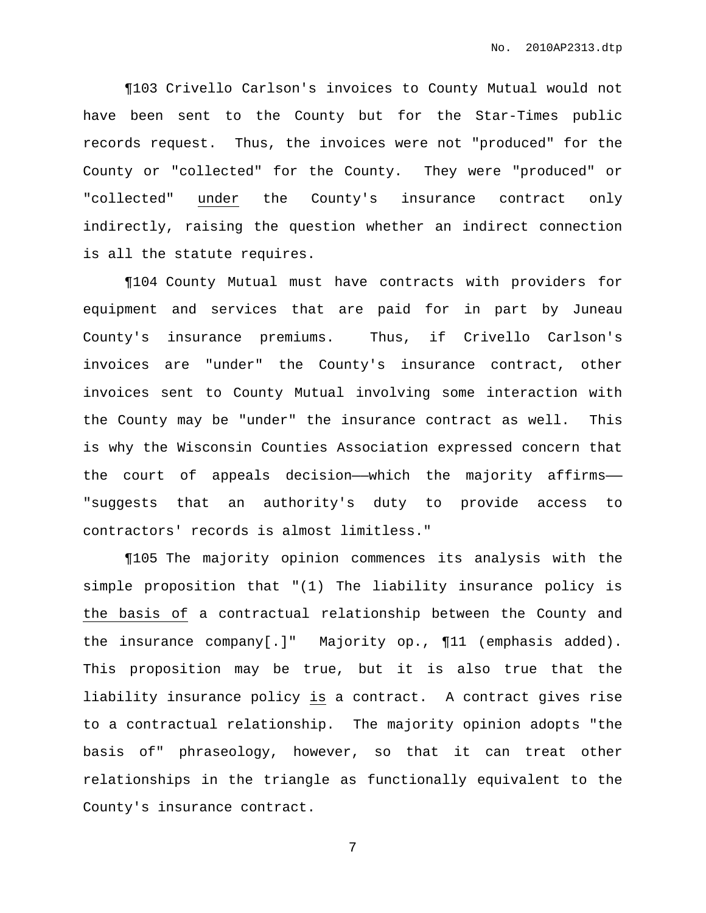¶103 Crivello Carlson's invoices to County Mutual would not have been sent to the County but for the Star-Times public records request. Thus, the invoices were not "produced" for the County or "collected" for the County. They were "produced" or "collected" under the County's insurance contract only indirectly, raising the question whether an indirect connection is all the statute requires.

¶104 County Mutual must have contracts with providers for equipment and services that are paid for in part by Juneau County's insurance premiums. Thus, if Crivello Carlson's invoices are "under" the County's insurance contract, other invoices sent to County Mutual involving some interaction with the County may be "under" the insurance contract as well. This is why the Wisconsin Counties Association expressed concern that the court of appeals decision—which the majority affirms— "suggests that an authority's duty to provide access to contractors' records is almost limitless."

¶105 The majority opinion commences its analysis with the simple proposition that "(1) The liability insurance policy is the basis of a contractual relationship between the County and the insurance company[.]" Majority op., ¶11 (emphasis added). This proposition may be true, but it is also true that the liability insurance policy is a contract. A contract gives rise to a contractual relationship. The majority opinion adopts "the basis of" phraseology, however, so that it can treat other relationships in the triangle as functionally equivalent to the County's insurance contract.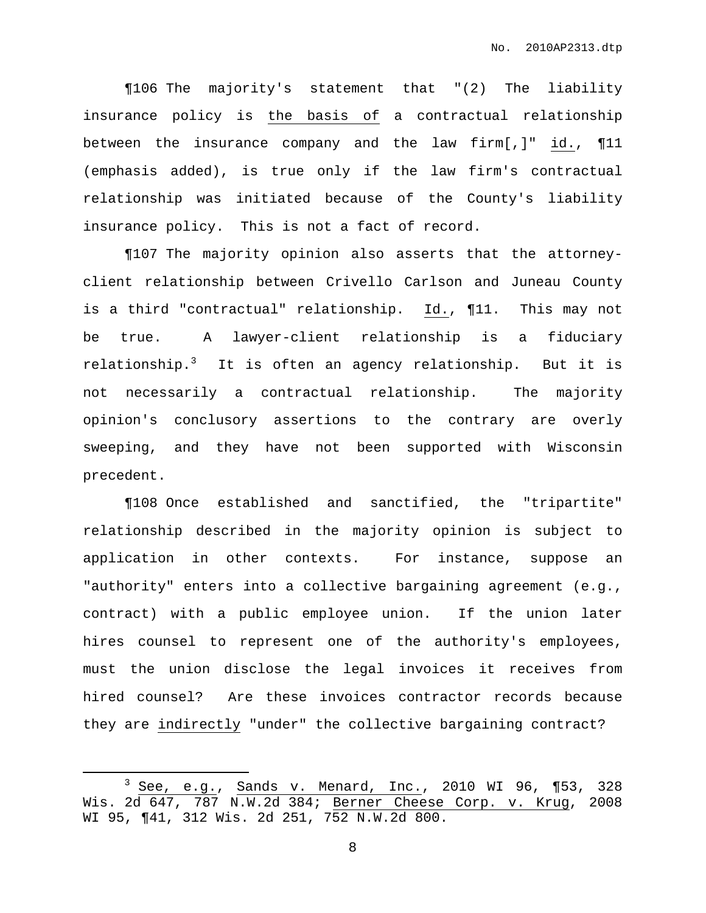¶106 The majority's statement that "(2) The liability insurance policy is the basis of a contractual relationship between the insurance company and the law firm[,]" id., ¶11 (emphasis added), is true only if the law firm's contractual relationship was initiated because of the County's liability insurance policy. This is not a fact of record.

¶107 The majority opinion also asserts that the attorneyclient relationship between Crivello Carlson and Juneau County is a third "contractual" relationship. Id., ¶11. This may not be true. A lawyer-client relationship is a fiduciary relationship.<sup>3</sup> It is often an agency relationship. But it is not necessarily a contractual relationship. The majority opinion's conclusory assertions to the contrary are overly sweeping, and they have not been supported with Wisconsin precedent.

¶108 Once established and sanctified, the "tripartite" relationship described in the majority opinion is subject to application in other contexts. For instance, suppose an "authority" enters into a collective bargaining agreement (e.g., contract) with a public employee union. If the union later hires counsel to represent one of the authority's employees, must the union disclose the legal invoices it receives from hired counsel? Are these invoices contractor records because they are indirectly "under" the collective bargaining contract?

<sup>&</sup>lt;sup>3</sup> See, e.g., Sands v. Menard, Inc., 2010 WI 96, ¶53, 328 Wis. 2d 647, 787 N.W.2d 384; Berner Cheese Corp. v. Krug, 2008 WI 95, ¶41, 312 Wis. 2d 251, 752 N.W.2d 800.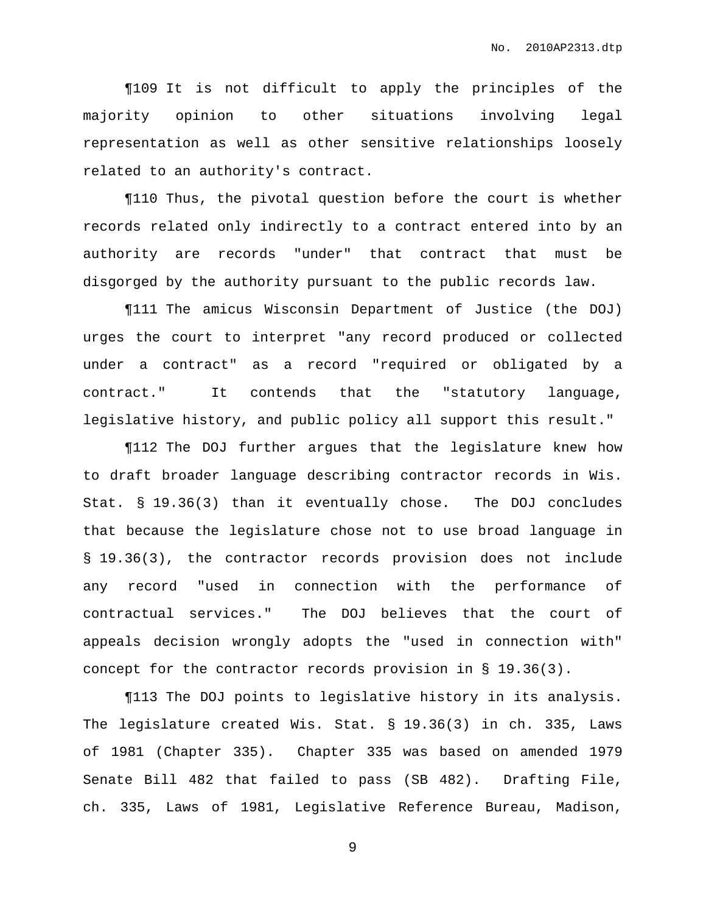¶109 It is not difficult to apply the principles of the majority opinion to other situations involving legal representation as well as other sensitive relationships loosely related to an authority's contract.

¶110 Thus, the pivotal question before the court is whether records related only indirectly to a contract entered into by an authority are records "under" that contract that must be disgorged by the authority pursuant to the public records law.

¶111 The amicus Wisconsin Department of Justice (the DOJ) urges the court to interpret "any record produced or collected under a contract" as a record "required or obligated by a contract." It contends that the "statutory language, legislative history, and public policy all support this result."

¶112 The DOJ further argues that the legislature knew how to draft broader language describing contractor records in Wis. Stat. § 19.36(3) than it eventually chose. The DOJ concludes that because the legislature chose not to use broad language in § 19.36(3), the contractor records provision does not include any record "used in connection with the performance of contractual services." The DOJ believes that the court of appeals decision wrongly adopts the "used in connection with" concept for the contractor records provision in § 19.36(3).

¶113 The DOJ points to legislative history in its analysis. The legislature created Wis. Stat. § 19.36(3) in ch. 335, Laws of 1981 (Chapter 335). Chapter 335 was based on amended 1979 Senate Bill 482 that failed to pass (SB 482). Drafting File, ch. 335, Laws of 1981, Legislative Reference Bureau, Madison,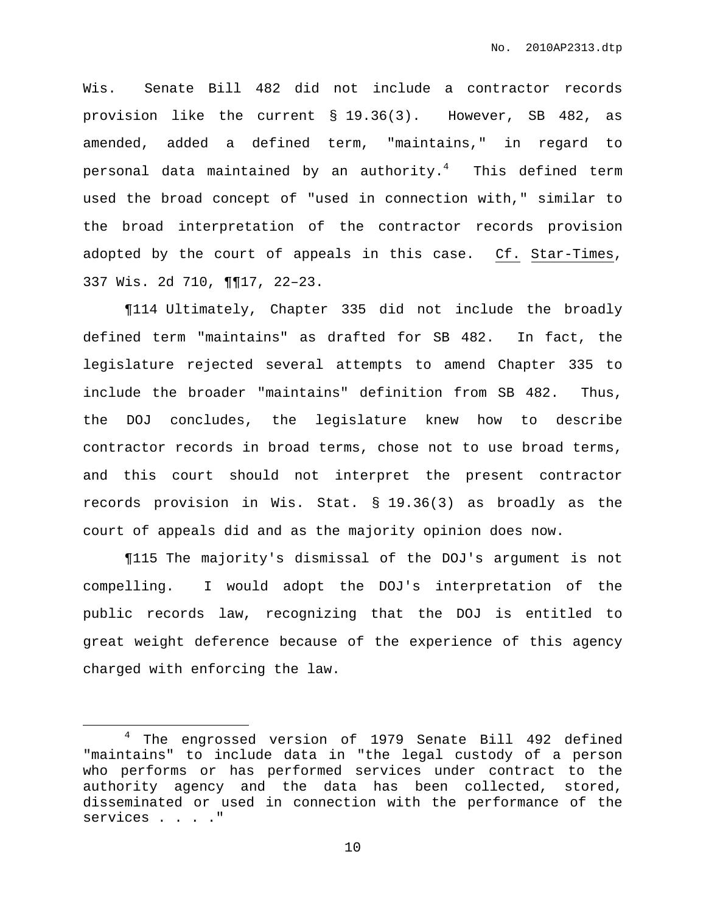Wis. Senate Bill 482 did not include a contractor records provision like the current § 19.36(3). However, SB 482, as amended, added a defined term, "maintains," in regard to personal data maintained by an authority. $^4$  - This defined term used the broad concept of "used in connection with," similar to the broad interpretation of the contractor records provision adopted by the court of appeals in this case. Cf. Star-Times, 337 Wis. 2d 710, ¶¶17, 22–23.

¶114 Ultimately, Chapter 335 did not include the broadly defined term "maintains" as drafted for SB 482. In fact, the legislature rejected several attempts to amend Chapter 335 to include the broader "maintains" definition from SB 482. Thus, the DOJ concludes, the legislature knew how to describe contractor records in broad terms, chose not to use broad terms, and this court should not interpret the present contractor records provision in Wis. Stat. § 19.36(3) as broadly as the court of appeals did and as the majority opinion does now.

¶115 The majority's dismissal of the DOJ's argument is not compelling. I would adopt the DOJ's interpretation of the public records law, recognizing that the DOJ is entitled to great weight deference because of the experience of this agency charged with enforcing the law.

<sup>&</sup>lt;sup>4</sup> The engrossed version of 1979 Senate Bill 492 defined "maintains" to include data in "the legal custody of a person who performs or has performed services under contract to the authority agency and the data has been collected, stored, disseminated or used in connection with the performance of the services . . . . "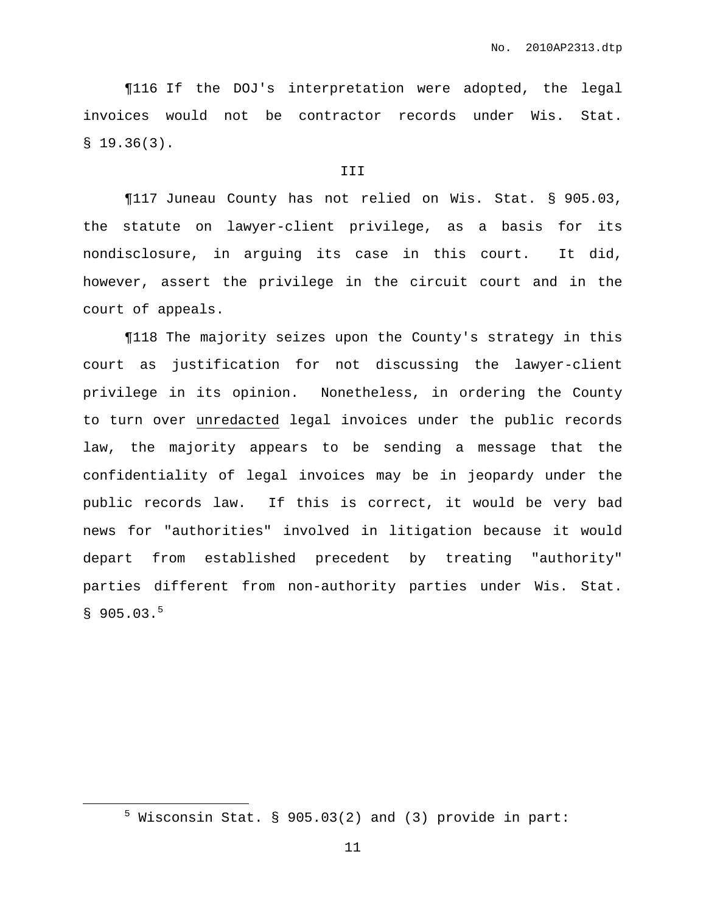¶116 If the DOJ's interpretation were adopted, the legal invoices would not be contractor records under Wis. Stat.  $$19.36(3).$ 

### III

¶117 Juneau County has not relied on Wis. Stat. § 905.03, the statute on lawyer-client privilege, as a basis for its nondisclosure, in arguing its case in this court. It did, however, assert the privilege in the circuit court and in the court of appeals.

¶118 The majority seizes upon the County's strategy in this court as justification for not discussing the lawyer-client privilege in its opinion. Nonetheless, in ordering the County to turn over unredacted legal invoices under the public records law, the majority appears to be sending a message that the confidentiality of legal invoices may be in jeopardy under the public records law. If this is correct, it would be very bad news for "authorities" involved in litigation because it would depart from established precedent by treating "authority" parties different from non-authority parties under Wis. Stat.  $$905.03.<sup>5</sup>$ 

 $5$  Wisconsin Stat. § 905.03(2) and (3) provide in part: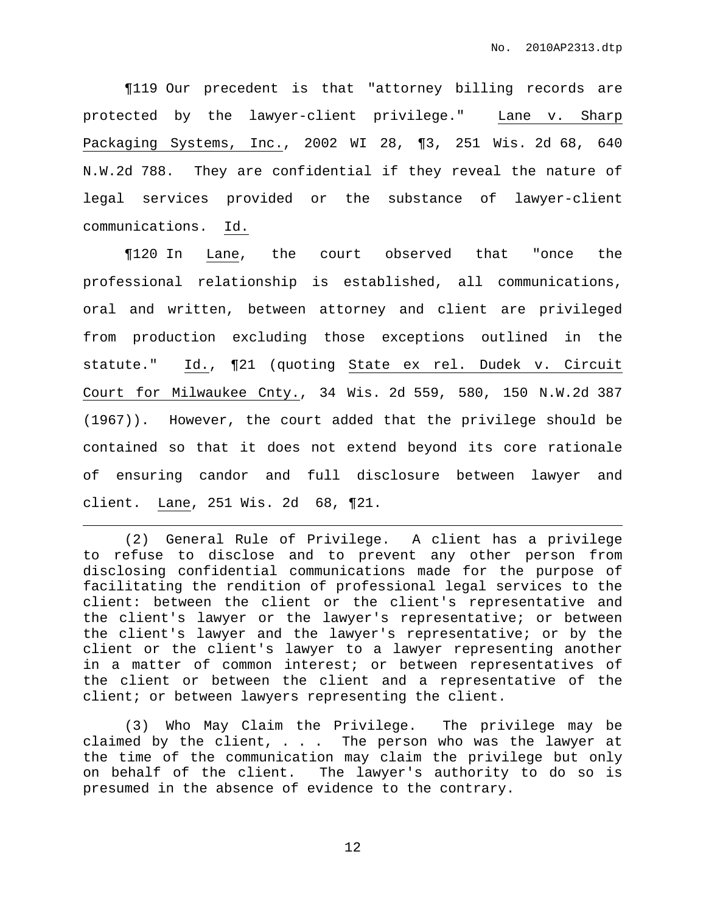¶119 Our precedent is that "attorney billing records are protected by the lawyer-client privilege." Lane v. Sharp Packaging Systems, Inc., 2002 WI 28, ¶3, 251 Wis. 2d 68, 640 N.W.2d 788. They are confidential if they reveal the nature of legal services provided or the substance of lawyer-client communications. Id.

¶120 In Lane, the court observed that "once the professional relationship is established, all communications, oral and written, between attorney and client are privileged from production excluding those exceptions outlined in the statute." Id., ¶21 (quoting State ex rel. Dudek v. Circuit Court for Milwaukee Cnty., 34 Wis. 2d 559, 580, 150 N.W.2d 387 (1967)). However, the court added that the privilege should be contained so that it does not extend beyond its core rationale of ensuring candor and full disclosure between lawyer and client. Lane, 251 Wis. 2d 68, ¶21.

(2) General Rule of Privilege. A client has a privilege to refuse to disclose and to prevent any other person from disclosing confidential communications made for the purpose of facilitating the rendition of professional legal services to the client: between the client or the client's representative and the client's lawyer or the lawyer's representative; or between the client's lawyer and the lawyer's representative; or by the client or the client's lawyer to a lawyer representing another in a matter of common interest; or between representatives of the client or between the client and a representative of the client; or between lawyers representing the client.

(3) Who May Claim the Privilege. The privilege may be claimed by the client, . . . The person who was the lawyer at the time of the communication may claim the privilege but only on behalf of the client. The lawyer's authority to do so is presumed in the absence of evidence to the contrary.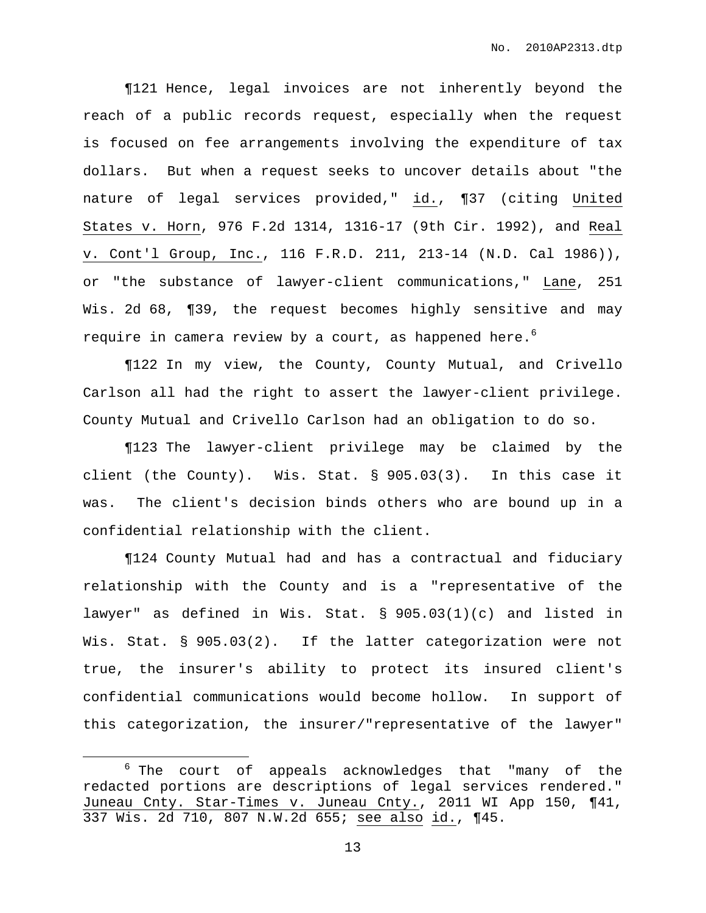¶121 Hence, legal invoices are not inherently beyond the reach of a public records request, especially when the request is focused on fee arrangements involving the expenditure of tax dollars. But when a request seeks to uncover details about "the nature of legal services provided," id., ¶37 (citing United States v. Horn, 976 F.2d 1314, 1316-17 (9th Cir. 1992), and Real v. Cont'l Group, Inc., 116 F.R.D. 211, 213-14 (N.D. Cal 1986)), or "the substance of lawyer-client communications," Lane, 251 Wis. 2d 68, ¶39, the request becomes highly sensitive and may require in camera review by a court, as happened here. $^6$ 

¶122 In my view, the County, County Mutual, and Crivello Carlson all had the right to assert the lawyer-client privilege. County Mutual and Crivello Carlson had an obligation to do so.

¶123 The lawyer-client privilege may be claimed by the client (the County). Wis. Stat. § 905.03(3). In this case it was. The client's decision binds others who are bound up in a confidential relationship with the client.

¶124 County Mutual had and has a contractual and fiduciary relationship with the County and is a "representative of the lawyer" as defined in Wis. Stat. § 905.03(1)(c) and listed in Wis. Stat. § 905.03(2). If the latter categorization were not true, the insurer's ability to protect its insured client's confidential communications would become hollow. In support of this categorization, the insurer/"representative of the lawyer"

<sup>6</sup> The court of appeals acknowledges that "many of the redacted portions are descriptions of legal services rendered." Juneau Cnty. Star-Times v. Juneau Cnty., 2011 WI App 150, ¶41, 337 Wis. 2d 710, 807 N.W.2d 655; see also id., ¶45.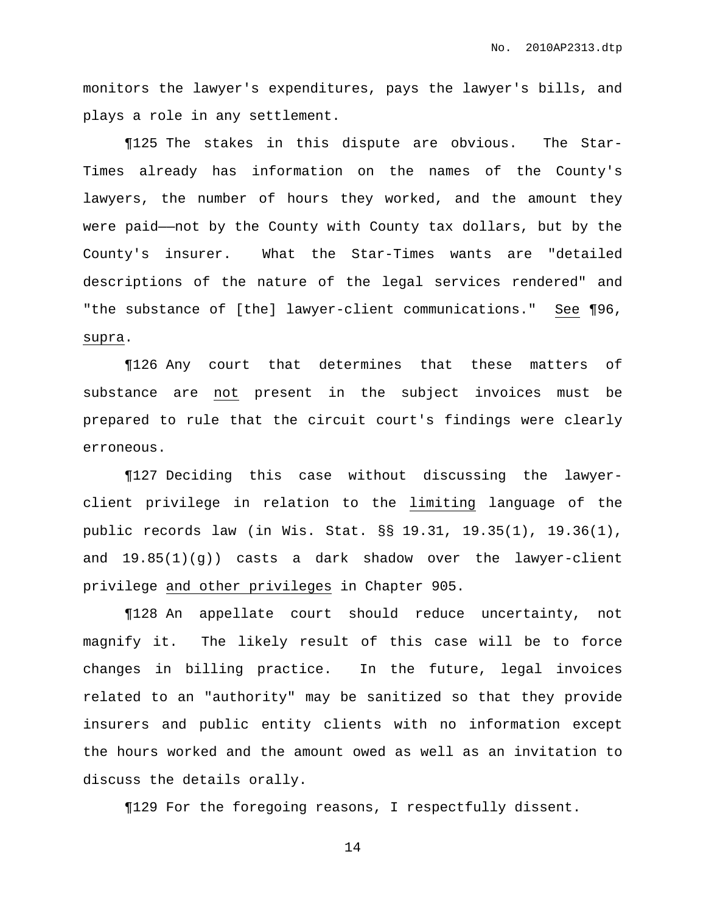monitors the lawyer's expenditures, pays the lawyer's bills, and plays a role in any settlement.

¶125 The stakes in this dispute are obvious. The Star-Times already has information on the names of the County's lawyers, the number of hours they worked, and the amount they were paid——not by the County with County tax dollars, but by the County's insurer. What the Star-Times wants are "detailed descriptions of the nature of the legal services rendered" and "the substance of [the] lawyer-client communications." See ¶96, supra.

¶126 Any court that determines that these matters of substance are not present in the subject invoices must be prepared to rule that the circuit court's findings were clearly erroneous.

¶127 Deciding this case without discussing the lawyerclient privilege in relation to the limiting language of the public records law (in Wis. Stat. §§ 19.31, 19.35(1), 19.36(1), and  $19.85(1)(q)$  casts a dark shadow over the lawyer-client privilege and other privileges in Chapter 905.

¶128 An appellate court should reduce uncertainty, not magnify it. The likely result of this case will be to force changes in billing practice. In the future, legal invoices related to an "authority" may be sanitized so that they provide insurers and public entity clients with no information except the hours worked and the amount owed as well as an invitation to discuss the details orally.

¶129 For the foregoing reasons, I respectfully dissent.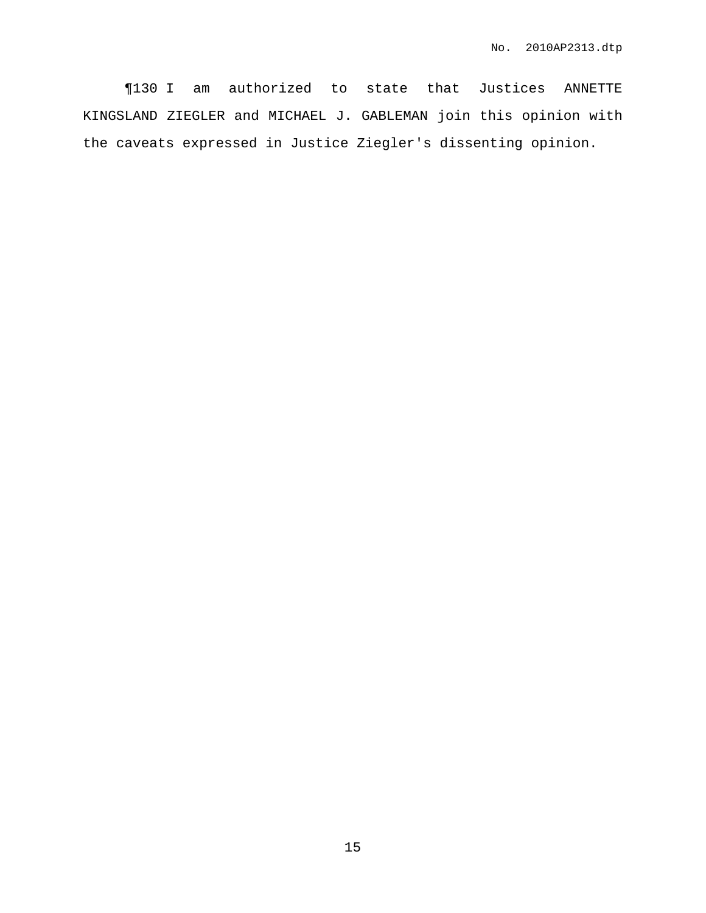¶130 I am authorized to state that Justices ANNETTE KINGSLAND ZIEGLER and MICHAEL J. GABLEMAN join this opinion with the caveats expressed in Justice Ziegler's dissenting opinion.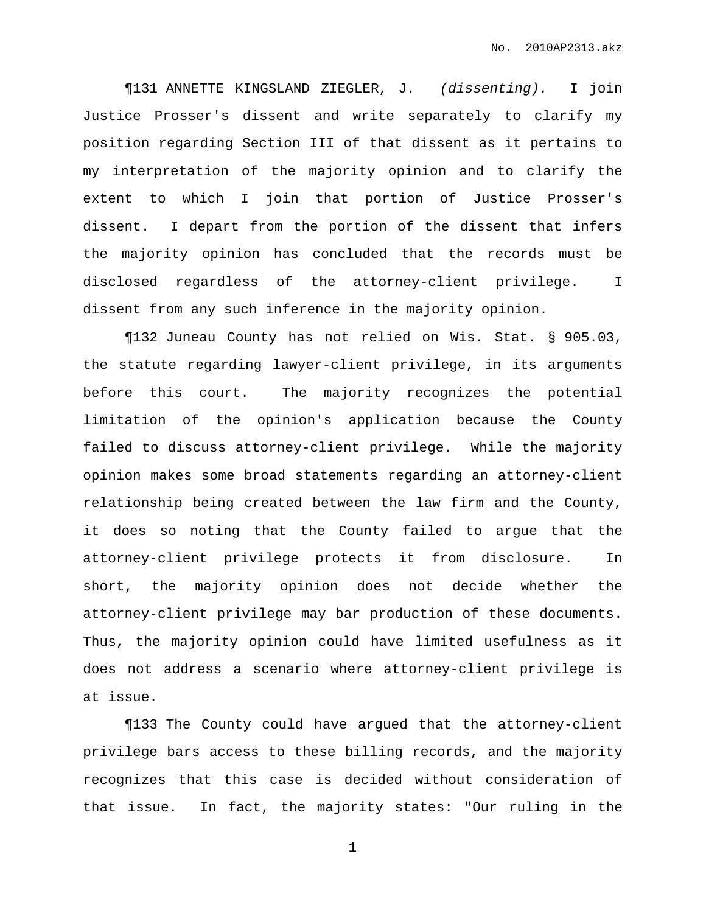¶131 ANNETTE KINGSLAND ZIEGLER, J. (dissenting). I join Justice Prosser's dissent and write separately to clarify my position regarding Section III of that dissent as it pertains to my interpretation of the majority opinion and to clarify the extent to which I join that portion of Justice Prosser's dissent. I depart from the portion of the dissent that infers the majority opinion has concluded that the records must be disclosed regardless of the attorney-client privilege. I dissent from any such inference in the majority opinion.

¶132 Juneau County has not relied on Wis. Stat. § 905.03, the statute regarding lawyer-client privilege, in its arguments before this court. The majority recognizes the potential limitation of the opinion's application because the County failed to discuss attorney-client privilege. While the majority opinion makes some broad statements regarding an attorney-client relationship being created between the law firm and the County, it does so noting that the County failed to argue that the attorney-client privilege protects it from disclosure. In short, the majority opinion does not decide whether the attorney-client privilege may bar production of these documents. Thus, the majority opinion could have limited usefulness as it does not address a scenario where attorney-client privilege is at issue.

¶133 The County could have argued that the attorney-client privilege bars access to these billing records, and the majority recognizes that this case is decided without consideration of that issue. In fact, the majority states: "Our ruling in the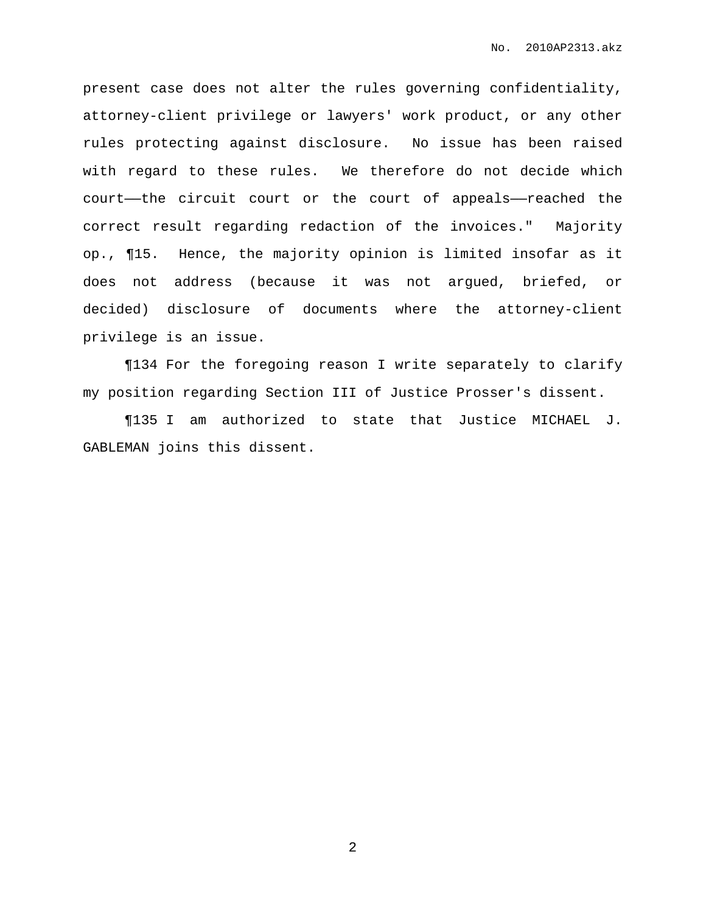present case does not alter the rules governing confidentiality, attorney-client privilege or lawyers' work product, or any other rules protecting against disclosure. No issue has been raised with regard to these rules. We therefore do not decide which court——the circuit court or the court of appeals——reached the correct result regarding redaction of the invoices." Majority op., ¶15. Hence, the majority opinion is limited insofar as it does not address (because it was not argued, briefed, or decided) disclosure of documents where the attorney-client privilege is an issue.

¶134 For the foregoing reason I write separately to clarify my position regarding Section III of Justice Prosser's dissent.

¶135 I am authorized to state that Justice MICHAEL J. GABLEMAN joins this dissent.